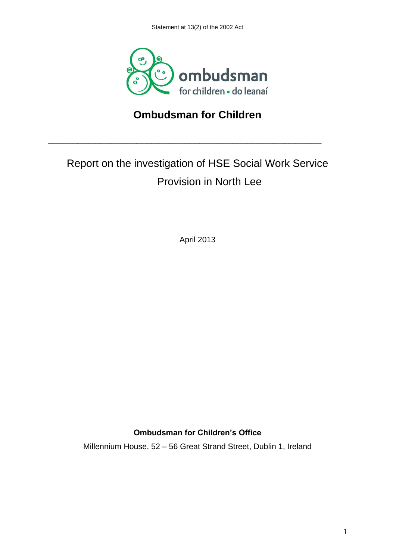

## **Ombudsman for Children**

\_\_\_\_\_\_\_\_\_\_\_\_\_\_\_\_\_\_\_\_\_\_\_\_\_\_\_\_\_\_\_\_\_\_\_\_\_\_\_\_\_\_\_\_\_\_\_\_\_\_\_\_\_\_\_\_\_\_\_\_\_\_\_\_\_\_\_\_\_\_\_\_\_\_

# Report on the investigation of HSE Social Work Service Provision in North Lee

April 2013

### **Ombudsman for Children's Office**

Millennium House, 52 – 56 Great Strand Street, Dublin 1, Ireland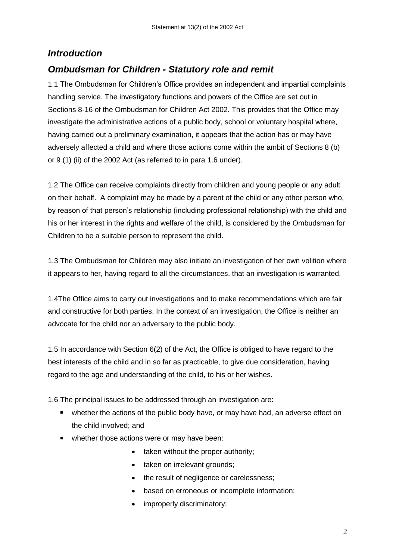## *Introduction*

## *Ombudsman for Children - Statutory role and remit*

1.1 The Ombudsman for Children"s Office provides an independent and impartial complaints handling service. The investigatory functions and powers of the Office are set out in Sections 8-16 of the Ombudsman for Children Act 2002. This provides that the Office may investigate the administrative actions of a public body, school or voluntary hospital where, having carried out a preliminary examination, it appears that the action has or may have adversely affected a child and where those actions come within the ambit of Sections 8 (b) or 9 (1) (ii) of the 2002 Act (as referred to in para 1.6 under).

1.2 The Office can receive complaints directly from children and young people or any adult on their behalf. A complaint may be made by a parent of the child or any other person who, by reason of that person"s relationship (including professional relationship) with the child and his or her interest in the rights and welfare of the child, is considered by the Ombudsman for Children to be a suitable person to represent the child.

1.3 The Ombudsman for Children may also initiate an investigation of her own volition where it appears to her, having regard to all the circumstances, that an investigation is warranted.

1.4The Office aims to carry out investigations and to make recommendations which are fair and constructive for both parties. In the context of an investigation, the Office is neither an advocate for the child nor an adversary to the public body.

1.5 In accordance with Section 6(2) of the Act, the Office is obliged to have regard to the best interests of the child and in so far as practicable, to give due consideration, having regard to the age and understanding of the child, to his or her wishes.

1.6 The principal issues to be addressed through an investigation are:

- whether the actions of the public body have, or may have had, an adverse effect on the child involved; and
- whether those actions were or may have been:
	- taken without the proper authority;
	- taken on irrelevant grounds;
	- the result of negligence or carelessness;
	- based on erroneous or incomplete information;
	- improperly discriminatory;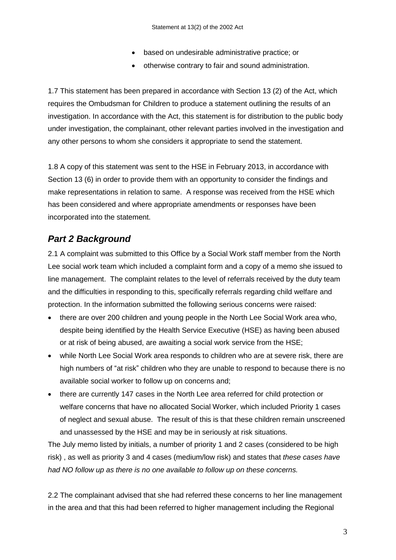- based on undesirable administrative practice; or
- otherwise contrary to fair and sound administration.

1.7 This statement has been prepared in accordance with Section 13 (2) of the Act, which requires the Ombudsman for Children to produce a statement outlining the results of an investigation. In accordance with the Act, this statement is for distribution to the public body under investigation, the complainant, other relevant parties involved in the investigation and any other persons to whom she considers it appropriate to send the statement.

1.8 A copy of this statement was sent to the HSE in February 2013, in accordance with Section 13 (6) in order to provide them with an opportunity to consider the findings and make representations in relation to same. A response was received from the HSE which has been considered and where appropriate amendments or responses have been incorporated into the statement.

## *Part 2 Background*

2.1 A complaint was submitted to this Office by a Social Work staff member from the North Lee social work team which included a complaint form and a copy of a memo she issued to line management. The complaint relates to the level of referrals received by the duty team and the difficulties in responding to this, specifically referrals regarding child welfare and protection. In the information submitted the following serious concerns were raised:

- there are over 200 children and young people in the North Lee Social Work area who, despite being identified by the Health Service Executive (HSE) as having been abused or at risk of being abused, are awaiting a social work service from the HSE;
- while North Lee Social Work area responds to children who are at severe risk, there are high numbers of "at risk" children who they are unable to respond to because there is no available social worker to follow up on concerns and;
- there are currently 147 cases in the North Lee area referred for child protection or welfare concerns that have no allocated Social Worker, which included Priority 1 cases of neglect and sexual abuse. The result of this is that these children remain unscreened and unassessed by the HSE and may be in seriously at risk situations.

The July memo listed by initials, a number of priority 1 and 2 cases (considered to be high risk) , as well as priority 3 and 4 cases (medium/low risk) and states that *these cases have had NO follow up as there is no one available to follow up on these concerns.*

2.2 The complainant advised that she had referred these concerns to her line management in the area and that this had been referred to higher management including the Regional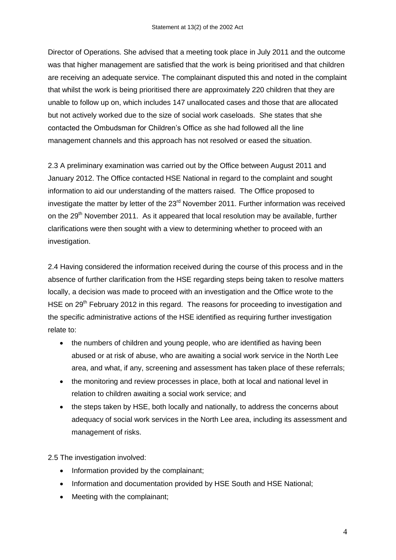Director of Operations. She advised that a meeting took place in July 2011 and the outcome was that higher management are satisfied that the work is being prioritised and that children are receiving an adequate service. The complainant disputed this and noted in the complaint that whilst the work is being prioritised there are approximately 220 children that they are unable to follow up on, which includes 147 unallocated cases and those that are allocated but not actively worked due to the size of social work caseloads. She states that she contacted the Ombudsman for Children"s Office as she had followed all the line management channels and this approach has not resolved or eased the situation.

2.3 A preliminary examination was carried out by the Office between August 2011 and January 2012. The Office contacted HSE National in regard to the complaint and sought information to aid our understanding of the matters raised. The Office proposed to investigate the matter by letter of the  $23<sup>rd</sup>$  November 2011. Further information was received on the 29<sup>th</sup> November 2011. As it appeared that local resolution may be available, further clarifications were then sought with a view to determining whether to proceed with an investigation.

2.4 Having considered the information received during the course of this process and in the absence of further clarification from the HSE regarding steps being taken to resolve matters locally, a decision was made to proceed with an investigation and the Office wrote to the HSE on 29<sup>th</sup> February 2012 in this regard. The reasons for proceeding to investigation and the specific administrative actions of the HSE identified as requiring further investigation relate to:

- the numbers of children and young people, who are identified as having been abused or at risk of abuse, who are awaiting a social work service in the North Lee area, and what, if any, screening and assessment has taken place of these referrals;
- the monitoring and review processes in place, both at local and national level in relation to children awaiting a social work service; and
- the steps taken by HSE, both locally and nationally, to address the concerns about adequacy of social work services in the North Lee area, including its assessment and management of risks.

2.5 The investigation involved:

- Information provided by the complainant;
- Information and documentation provided by HSE South and HSE National;
- Meeting with the complainant: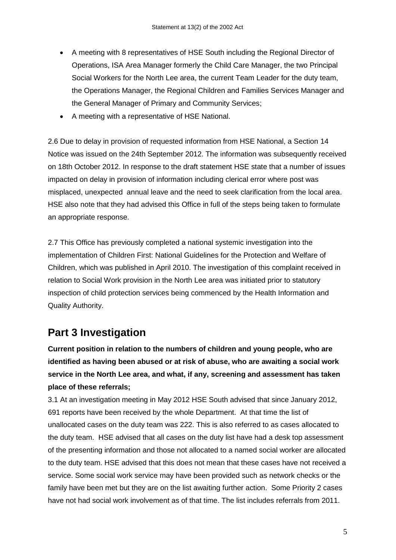- A meeting with 8 representatives of HSE South including the Regional Director of Operations, ISA Area Manager formerly the Child Care Manager, the two Principal Social Workers for the North Lee area, the current Team Leader for the duty team, the Operations Manager, the Regional Children and Families Services Manager and the General Manager of Primary and Community Services;
- A meeting with a representative of HSE National.

2.6 Due to delay in provision of requested information from HSE National, a Section 14 Notice was issued on the 24th September 2012. The information was subsequently received on 18th October 2012. In response to the draft statement HSE state that a number of issues impacted on delay in provision of information including clerical error where post was misplaced, unexpected annual leave and the need to seek clarification from the local area. HSE also note that they had advised this Office in full of the steps being taken to formulate an appropriate response.

2.7 This Office has previously completed a national systemic investigation into the implementation of Children First: National Guidelines for the Protection and Welfare of Children, which was published in April 2010. The investigation of this complaint received in relation to Social Work provision in the North Lee area was initiated prior to statutory inspection of child protection services being commenced by the Health Information and Quality Authority.

## **Part 3 Investigation**

**Current position in relation to the numbers of children and young people, who are identified as having been abused or at risk of abuse, who are awaiting a social work service in the North Lee area, and what, if any, screening and assessment has taken place of these referrals;**

3.1 At an investigation meeting in May 2012 HSE South advised that since January 2012, 691 reports have been received by the whole Department. At that time the list of unallocated cases on the duty team was 222. This is also referred to as cases allocated to the duty team. HSE advised that all cases on the duty list have had a desk top assessment of the presenting information and those not allocated to a named social worker are allocated to the duty team. HSE advised that this does not mean that these cases have not received a service. Some social work service may have been provided such as network checks or the family have been met but they are on the list awaiting further action. Some Priority 2 cases have not had social work involvement as of that time. The list includes referrals from 2011.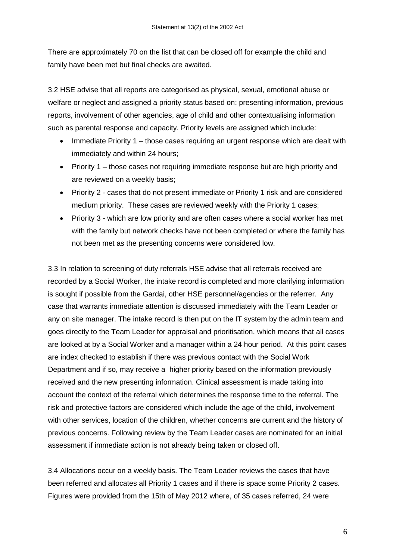There are approximately 70 on the list that can be closed off for example the child and family have been met but final checks are awaited.

3.2 HSE advise that all reports are categorised as physical, sexual, emotional abuse or welfare or neglect and assigned a priority status based on: presenting information, previous reports, involvement of other agencies, age of child and other contextualising information such as parental response and capacity. Priority levels are assigned which include:

- Immediate Priority 1 those cases requiring an urgent response which are dealt with immediately and within 24 hours;
- Priority 1 those cases not requiring immediate response but are high priority and are reviewed on a weekly basis;
- Priority 2 cases that do not present immediate or Priority 1 risk and are considered medium priority. These cases are reviewed weekly with the Priority 1 cases;
- Priority 3 which are low priority and are often cases where a social worker has met with the family but network checks have not been completed or where the family has not been met as the presenting concerns were considered low.

3.3 In relation to screening of duty referrals HSE advise that all referrals received are recorded by a Social Worker, the intake record is completed and more clarifying information is sought if possible from the Gardai, other HSE personnel/agencies or the referrer. Any case that warrants immediate attention is discussed immediately with the Team Leader or any on site manager. The intake record is then put on the IT system by the admin team and goes directly to the Team Leader for appraisal and prioritisation, which means that all cases are looked at by a Social Worker and a manager within a 24 hour period. At this point cases are index checked to establish if there was previous contact with the Social Work Department and if so, may receive a higher priority based on the information previously received and the new presenting information. Clinical assessment is made taking into account the context of the referral which determines the response time to the referral. The risk and protective factors are considered which include the age of the child, involvement with other services, location of the children, whether concerns are current and the history of previous concerns. Following review by the Team Leader cases are nominated for an initial assessment if immediate action is not already being taken or closed off.

3.4 Allocations occur on a weekly basis. The Team Leader reviews the cases that have been referred and allocates all Priority 1 cases and if there is space some Priority 2 cases. Figures were provided from the 15th of May 2012 where, of 35 cases referred, 24 were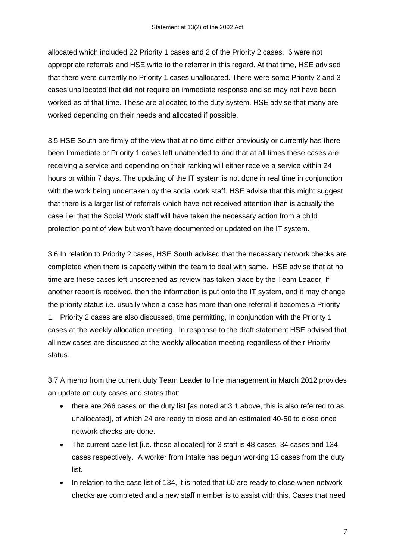allocated which included 22 Priority 1 cases and 2 of the Priority 2 cases. 6 were not appropriate referrals and HSE write to the referrer in this regard. At that time, HSE advised that there were currently no Priority 1 cases unallocated. There were some Priority 2 and 3 cases unallocated that did not require an immediate response and so may not have been worked as of that time. These are allocated to the duty system. HSE advise that many are worked depending on their needs and allocated if possible.

3.5 HSE South are firmly of the view that at no time either previously or currently has there been Immediate or Priority 1 cases left unattended to and that at all times these cases are receiving a service and depending on their ranking will either receive a service within 24 hours or within 7 days. The updating of the IT system is not done in real time in conjunction with the work being undertaken by the social work staff. HSE advise that this might suggest that there is a larger list of referrals which have not received attention than is actually the case i.e. that the Social Work staff will have taken the necessary action from a child protection point of view but won"t have documented or updated on the IT system.

3.6 In relation to Priority 2 cases, HSE South advised that the necessary network checks are completed when there is capacity within the team to deal with same. HSE advise that at no time are these cases left unscreened as review has taken place by the Team Leader. If another report is received, then the information is put onto the IT system, and it may change the priority status i.e. usually when a case has more than one referral it becomes a Priority 1. Priority 2 cases are also discussed, time permitting, in conjunction with the Priority 1 cases at the weekly allocation meeting. In response to the draft statement HSE advised that all new cases are discussed at the weekly allocation meeting regardless of their Priority status.

3.7 A memo from the current duty Team Leader to line management in March 2012 provides an update on duty cases and states that:

- there are 266 cases on the duty list [as noted at 3.1 above, this is also referred to as unallocated], of which 24 are ready to close and an estimated 40-50 to close once network checks are done.
- The current case list [i.e. those allocated] for 3 staff is 48 cases, 34 cases and 134 cases respectively. A worker from Intake has begun working 13 cases from the duty list.
- In relation to the case list of 134, it is noted that 60 are ready to close when network checks are completed and a new staff member is to assist with this. Cases that need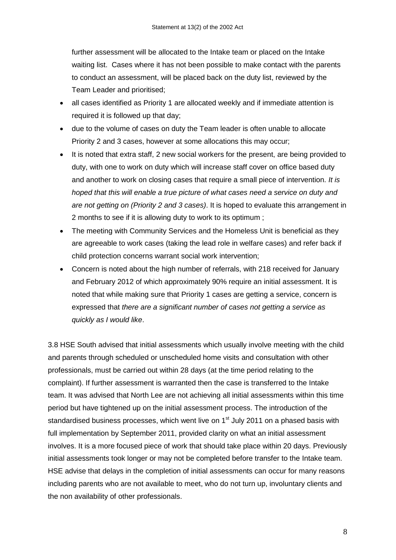further assessment will be allocated to the Intake team or placed on the Intake waiting list. Cases where it has not been possible to make contact with the parents to conduct an assessment, will be placed back on the duty list, reviewed by the Team Leader and prioritised;

- all cases identified as Priority 1 are allocated weekly and if immediate attention is required it is followed up that day;
- due to the volume of cases on duty the Team leader is often unable to allocate Priority 2 and 3 cases, however at some allocations this may occur;
- It is noted that extra staff, 2 new social workers for the present, are being provided to duty, with one to work on duty which will increase staff cover on office based duty and another to work on closing cases that require a small piece of intervention. *It is hoped that this will enable a true picture of what cases need a service on duty and are not getting on (Priority 2 and 3 cases)*. It is hoped to evaluate this arrangement in 2 months to see if it is allowing duty to work to its optimum ;
- The meeting with Community Services and the Homeless Unit is beneficial as they are agreeable to work cases (taking the lead role in welfare cases) and refer back if child protection concerns warrant social work intervention;
- Concern is noted about the high number of referrals, with 218 received for January and February 2012 of which approximately 90% require an initial assessment. It is noted that while making sure that Priority 1 cases are getting a service, concern is expressed that *there are a significant number of cases not getting a service as quickly as I would like*.

3.8 HSE South advised that initial assessments which usually involve meeting with the child and parents through scheduled or unscheduled home visits and consultation with other professionals, must be carried out within 28 days (at the time period relating to the complaint). If further assessment is warranted then the case is transferred to the Intake team. It was advised that North Lee are not achieving all initial assessments within this time period but have tightened up on the initial assessment process. The introduction of the standardised business processes, which went live on 1<sup>st</sup> July 2011 on a phased basis with full implementation by September 2011, provided clarity on what an initial assessment involves. It is a more focused piece of work that should take place within 20 days. Previously initial assessments took longer or may not be completed before transfer to the Intake team. HSE advise that delays in the completion of initial assessments can occur for many reasons including parents who are not available to meet, who do not turn up, involuntary clients and the non availability of other professionals.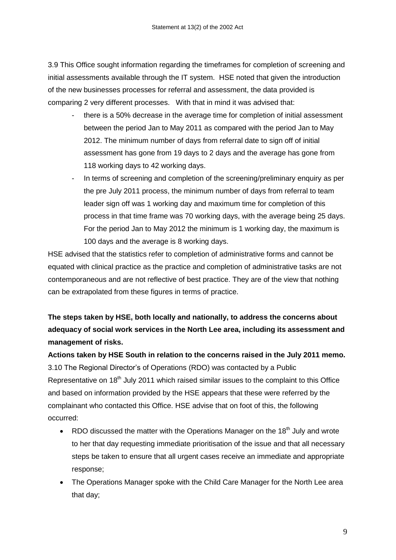3.9 This Office sought information regarding the timeframes for completion of screening and initial assessments available through the IT system. HSE noted that given the introduction of the new businesses processes for referral and assessment, the data provided is comparing 2 very different processes. With that in mind it was advised that:

- there is a 50% decrease in the average time for completion of initial assessment between the period Jan to May 2011 as compared with the period Jan to May 2012. The minimum number of days from referral date to sign off of initial assessment has gone from 19 days to 2 days and the average has gone from 118 working days to 42 working days.
- In terms of screening and completion of the screening/preliminary enquiry as per the pre July 2011 process, the minimum number of days from referral to team leader sign off was 1 working day and maximum time for completion of this process in that time frame was 70 working days, with the average being 25 days. For the period Jan to May 2012 the minimum is 1 working day, the maximum is 100 days and the average is 8 working days.

HSE advised that the statistics refer to completion of administrative forms and cannot be equated with clinical practice as the practice and completion of administrative tasks are not contemporaneous and are not reflective of best practice. They are of the view that nothing can be extrapolated from these figures in terms of practice.

## **The steps taken by HSE, both locally and nationally, to address the concerns about adequacy of social work services in the North Lee area, including its assessment and management of risks.**

**Actions taken by HSE South in relation to the concerns raised in the July 2011 memo.** 3.10 The Regional Director"s of Operations (RDO) was contacted by a Public Representative on 18<sup>th</sup> July 2011 which raised similar issues to the complaint to this Office and based on information provided by the HSE appears that these were referred by the complainant who contacted this Office. HSE advise that on foot of this, the following occurred:

- RDO discussed the matter with the Operations Manager on the 18<sup>th</sup> July and wrote to her that day requesting immediate prioritisation of the issue and that all necessary steps be taken to ensure that all urgent cases receive an immediate and appropriate response;
- The Operations Manager spoke with the Child Care Manager for the North Lee area that day;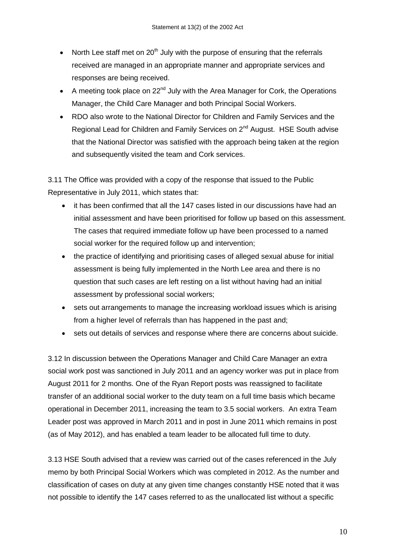- North Lee staff met on  $20<sup>th</sup>$  July with the purpose of ensuring that the referrals received are managed in an appropriate manner and appropriate services and responses are being received.
- A meeting took place on  $22^{nd}$  July with the Area Manager for Cork, the Operations Manager, the Child Care Manager and both Principal Social Workers.
- RDO also wrote to the National Director for Children and Family Services and the Regional Lead for Children and Family Services on 2<sup>nd</sup> August. HSE South advise that the National Director was satisfied with the approach being taken at the region and subsequently visited the team and Cork services.

3.11 The Office was provided with a copy of the response that issued to the Public Representative in July 2011, which states that:

- it has been confirmed that all the 147 cases listed in our discussions have had an initial assessment and have been prioritised for follow up based on this assessment. The cases that required immediate follow up have been processed to a named social worker for the required follow up and intervention;
- the practice of identifying and prioritising cases of alleged sexual abuse for initial assessment is being fully implemented in the North Lee area and there is no question that such cases are left resting on a list without having had an initial assessment by professional social workers;
- sets out arrangements to manage the increasing workload issues which is arising from a higher level of referrals than has happened in the past and;
- sets out details of services and response where there are concerns about suicide.

3.12 In discussion between the Operations Manager and Child Care Manager an extra social work post was sanctioned in July 2011 and an agency worker was put in place from August 2011 for 2 months. One of the Ryan Report posts was reassigned to facilitate transfer of an additional social worker to the duty team on a full time basis which became operational in December 2011, increasing the team to 3.5 social workers. An extra Team Leader post was approved in March 2011 and in post in June 2011 which remains in post (as of May 2012), and has enabled a team leader to be allocated full time to duty.

3.13 HSE South advised that a review was carried out of the cases referenced in the July memo by both Principal Social Workers which was completed in 2012. As the number and classification of cases on duty at any given time changes constantly HSE noted that it was not possible to identify the 147 cases referred to as the unallocated list without a specific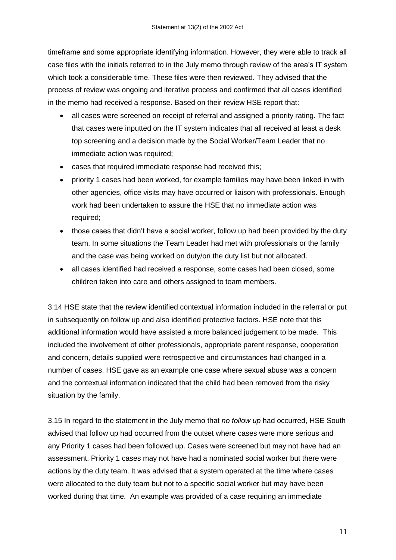timeframe and some appropriate identifying information. However, they were able to track all case files with the initials referred to in the July memo through review of the area"s IT system which took a considerable time. These files were then reviewed. They advised that the process of review was ongoing and iterative process and confirmed that all cases identified in the memo had received a response. Based on their review HSE report that:

- all cases were screened on receipt of referral and assigned a priority rating. The fact that cases were inputted on the IT system indicates that all received at least a desk top screening and a decision made by the Social Worker/Team Leader that no immediate action was required;
- cases that required immediate response had received this;
- priority 1 cases had been worked, for example families may have been linked in with other agencies, office visits may have occurred or liaison with professionals. Enough work had been undertaken to assure the HSE that no immediate action was required;
- those cases that didn't have a social worker, follow up had been provided by the duty team. In some situations the Team Leader had met with professionals or the family and the case was being worked on duty/on the duty list but not allocated.
- all cases identified had received a response, some cases had been closed, some children taken into care and others assigned to team members.

3.14 HSE state that the review identified contextual information included in the referral or put in subsequently on follow up and also identified protective factors. HSE note that this additional information would have assisted a more balanced judgement to be made. This included the involvement of other professionals, appropriate parent response, cooperation and concern, details supplied were retrospective and circumstances had changed in a number of cases. HSE gave as an example one case where sexual abuse was a concern and the contextual information indicated that the child had been removed from the risky situation by the family.

3.15 In regard to the statement in the July memo that *no follow up* had occurred, HSE South advised that follow up had occurred from the outset where cases were more serious and any Priority 1 cases had been followed up. Cases were screened but may not have had an assessment. Priority 1 cases may not have had a nominated social worker but there were actions by the duty team. It was advised that a system operated at the time where cases were allocated to the duty team but not to a specific social worker but may have been worked during that time. An example was provided of a case requiring an immediate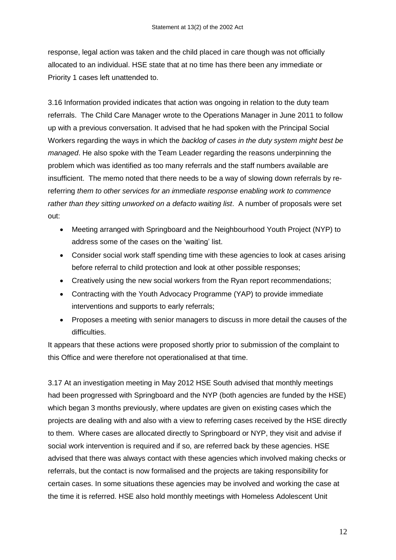response, legal action was taken and the child placed in care though was not officially allocated to an individual. HSE state that at no time has there been any immediate or Priority 1 cases left unattended to.

3.16 Information provided indicates that action was ongoing in relation to the duty team referrals. The Child Care Manager wrote to the Operations Manager in June 2011 to follow up with a previous conversation. It advised that he had spoken with the Principal Social Workers regarding the ways in which the *backlog of cases in the duty system might best be managed*. He also spoke with the Team Leader regarding the reasons underpinning the problem which was identified as too many referrals and the staff numbers available are insufficient. The memo noted that there needs to be a way of slowing down referrals by rereferring *them to other services for an immediate response enabling work to commence rather than they sitting unworked on a defacto waiting list*. A number of proposals were set out:

- Meeting arranged with Springboard and the Neighbourhood Youth Project (NYP) to address some of the cases on the "waiting" list.
- Consider social work staff spending time with these agencies to look at cases arising before referral to child protection and look at other possible responses;
- Creatively using the new social workers from the Ryan report recommendations;
- Contracting with the Youth Advocacy Programme (YAP) to provide immediate interventions and supports to early referrals;
- Proposes a meeting with senior managers to discuss in more detail the causes of the difficulties.

It appears that these actions were proposed shortly prior to submission of the complaint to this Office and were therefore not operationalised at that time.

3.17 At an investigation meeting in May 2012 HSE South advised that monthly meetings had been progressed with Springboard and the NYP (both agencies are funded by the HSE) which began 3 months previously, where updates are given on existing cases which the projects are dealing with and also with a view to referring cases received by the HSE directly to them. Where cases are allocated directly to Springboard or NYP, they visit and advise if social work intervention is required and if so, are referred back by these agencies. HSE advised that there was always contact with these agencies which involved making checks or referrals, but the contact is now formalised and the projects are taking responsibility for certain cases. In some situations these agencies may be involved and working the case at the time it is referred. HSE also hold monthly meetings with Homeless Adolescent Unit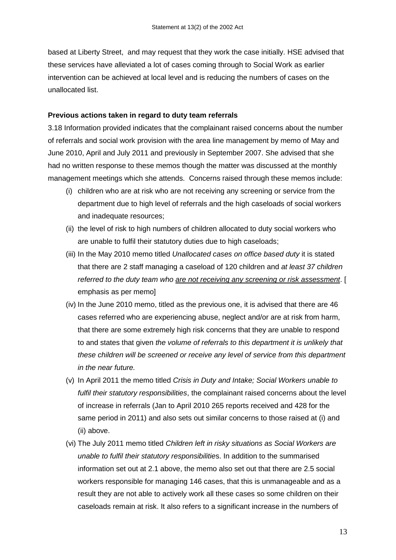based at Liberty Street, and may request that they work the case initially. HSE advised that these services have alleviated a lot of cases coming through to Social Work as earlier intervention can be achieved at local level and is reducing the numbers of cases on the unallocated list.

#### **Previous actions taken in regard to duty team referrals**

3.18 Information provided indicates that the complainant raised concerns about the number of referrals and social work provision with the area line management by memo of May and June 2010, April and July 2011 and previously in September 2007. She advised that she had no written response to these memos though the matter was discussed at the monthly management meetings which she attends. Concerns raised through these memos include:

- (i) children who are at risk who are not receiving any screening or service from the department due to high level of referrals and the high caseloads of social workers and inadequate resources;
- (ii) the level of risk to high numbers of children allocated to duty social workers who are unable to fulfil their statutory duties due to high caseloads;
- (iii) In the May 2010 memo titled *Unallocated cases on office based duty* it is stated that there are 2 staff managing a caseload of 120 children and *at least 37 children referred to the duty team who are not receiving any screening or risk assessment*. [ emphasis as per memo]
- (iv) In the June 2010 memo, titled as the previous one, it is advised that there are 46 cases referred who are experiencing abuse, neglect and/or are at risk from harm, that there are some extremely high risk concerns that they are unable to respond to and states that given *the volume of referrals to this department it is unlikely that these children will be screened or receive any level of service from this department in the near future.*
- (v) In April 2011 the memo titled *Crisis in Duty and Intake; Social Workers unable to fulfil their statutory responsibilities*, the complainant raised concerns about the level of increase in referrals (Jan to April 2010 265 reports received and 428 for the same period in 2011) and also sets out similar concerns to those raised at (i) and (ii) above.
- (vi) The July 2011 memo titled *Children left in risky situations as Social Workers are unable to fulfil their statutory responsibilitie*s. In addition to the summarised information set out at 2.1 above, the memo also set out that there are 2.5 social workers responsible for managing 146 cases, that this is unmanageable and as a result they are not able to actively work all these cases so some children on their caseloads remain at risk. It also refers to a significant increase in the numbers of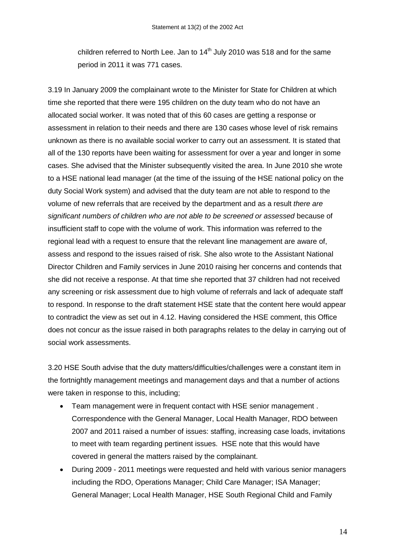children referred to North Lee. Jan to  $14<sup>th</sup>$  July 2010 was 518 and for the same period in 2011 it was 771 cases.

3.19 In January 2009 the complainant wrote to the Minister for State for Children at which time she reported that there were 195 children on the duty team who do not have an allocated social worker. It was noted that of this 60 cases are getting a response or assessment in relation to their needs and there are 130 cases whose level of risk remains unknown as there is no available social worker to carry out an assessment. It is stated that all of the 130 reports have been waiting for assessment for over a year and longer in some cases. She advised that the Minister subsequently visited the area. In June 2010 she wrote to a HSE national lead manager (at the time of the issuing of the HSE national policy on the duty Social Work system) and advised that the duty team are not able to respond to the volume of new referrals that are received by the department and as a result *there are significant numbers of children who are not able to be screened or assessed* because of insufficient staff to cope with the volume of work. This information was referred to the regional lead with a request to ensure that the relevant line management are aware of, assess and respond to the issues raised of risk. She also wrote to the Assistant National Director Children and Family services in June 2010 raising her concerns and contends that she did not receive a response. At that time she reported that 37 children had not received any screening or risk assessment due to high volume of referrals and lack of adequate staff to respond. In response to the draft statement HSE state that the content here would appear to contradict the view as set out in 4.12. Having considered the HSE comment, this Office does not concur as the issue raised in both paragraphs relates to the delay in carrying out of social work assessments.

3.20 HSE South advise that the duty matters/difficulties/challenges were a constant item in the fortnightly management meetings and management days and that a number of actions were taken in response to this, including;

- Team management were in frequent contact with HSE senior management . Correspondence with the General Manager, Local Health Manager, RDO between 2007 and 2011 raised a number of issues: staffing, increasing case loads, invitations to meet with team regarding pertinent issues. HSE note that this would have covered in general the matters raised by the complainant.
- During 2009 2011 meetings were requested and held with various senior managers including the RDO, Operations Manager; Child Care Manager; ISA Manager; General Manager; Local Health Manager, HSE South Regional Child and Family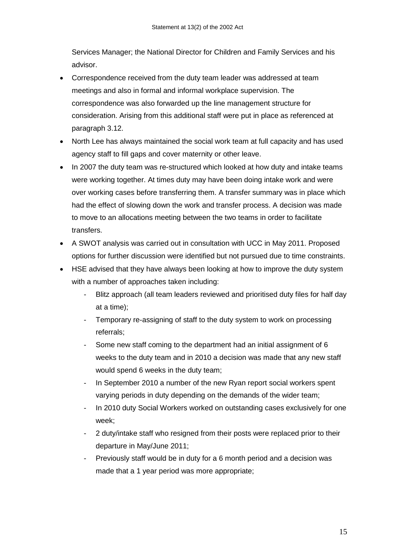Services Manager; the National Director for Children and Family Services and his advisor.

- Correspondence received from the duty team leader was addressed at team meetings and also in formal and informal workplace supervision. The correspondence was also forwarded up the line management structure for consideration. Arising from this additional staff were put in place as referenced at paragraph 3.12.
- North Lee has always maintained the social work team at full capacity and has used agency staff to fill gaps and cover maternity or other leave.
- In 2007 the duty team was re-structured which looked at how duty and intake teams were working together. At times duty may have been doing intake work and were over working cases before transferring them. A transfer summary was in place which had the effect of slowing down the work and transfer process. A decision was made to move to an allocations meeting between the two teams in order to facilitate transfers.
- A SWOT analysis was carried out in consultation with UCC in May 2011. Proposed options for further discussion were identified but not pursued due to time constraints.
- HSE advised that they have always been looking at how to improve the duty system with a number of approaches taken including:
	- Blitz approach (all team leaders reviewed and prioritised duty files for half day at a time);
	- Temporary re-assigning of staff to the duty system to work on processing referrals;
	- Some new staff coming to the department had an initial assignment of 6 weeks to the duty team and in 2010 a decision was made that any new staff would spend 6 weeks in the duty team;
	- In September 2010 a number of the new Ryan report social workers spent varying periods in duty depending on the demands of the wider team;
	- In 2010 duty Social Workers worked on outstanding cases exclusively for one week;
	- 2 duty/intake staff who resigned from their posts were replaced prior to their departure in May/June 2011;
	- Previously staff would be in duty for a 6 month period and a decision was made that a 1 year period was more appropriate;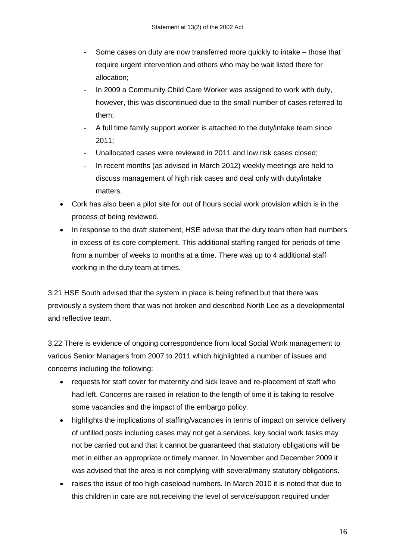- Some cases on duty are now transferred more quickly to intake those that require urgent intervention and others who may be wait listed there for allocation;
- In 2009 a Community Child Care Worker was assigned to work with duty, however, this was discontinued due to the small number of cases referred to them;
- A full time family support worker is attached to the duty/intake team since 2011;
- Unallocated cases were reviewed in 2011 and low risk cases closed:
- In recent months (as advised in March 2012) weekly meetings are held to discuss management of high risk cases and deal only with duty/intake matters.
- Cork has also been a pilot site for out of hours social work provision which is in the process of being reviewed.
- In response to the draft statement, HSE advise that the duty team often had numbers in excess of its core complement. This additional staffing ranged for periods of time from a number of weeks to months at a time. There was up to 4 additional staff working in the duty team at times.

3.21 HSE South advised that the system in place is being refined but that there was previously a system there that was not broken and described North Lee as a developmental and reflective team.

3.22 There is evidence of ongoing correspondence from local Social Work management to various Senior Managers from 2007 to 2011 which highlighted a number of issues and concerns including the following:

- requests for staff cover for maternity and sick leave and re-placement of staff who had left. Concerns are raised in relation to the length of time it is taking to resolve some vacancies and the impact of the embargo policy.
- highlights the implications of staffing/vacancies in terms of impact on service delivery of unfilled posts including cases may not get a services, key social work tasks may not be carried out and that it cannot be guaranteed that statutory obligations will be met in either an appropriate or timely manner. In November and December 2009 it was advised that the area is not complying with several/many statutory obligations.
- raises the issue of too high caseload numbers. In March 2010 it is noted that due to this children in care are not receiving the level of service/support required under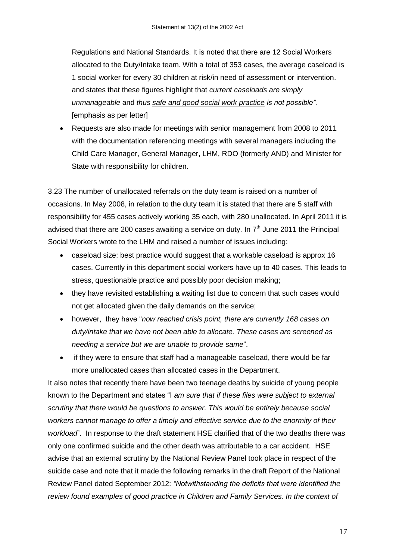Regulations and National Standards. It is noted that there are 12 Social Workers allocated to the Duty/Intake team. With a total of 353 cases, the average caseload is 1 social worker for every 30 children at risk/in need of assessment or intervention. and states that these figures highlight that *current caseloads are simply unmanageable* and *thus safe and good social work practice is not possible".*  [emphasis as per letter]

 Requests are also made for meetings with senior management from 2008 to 2011 with the documentation referencing meetings with several managers including the Child Care Manager, General Manager, LHM, RDO (formerly AND) and Minister for State with responsibility for children.

3.23 The number of unallocated referrals on the duty team is raised on a number of occasions. In May 2008, in relation to the duty team it is stated that there are 5 staff with responsibility for 455 cases actively working 35 each, with 280 unallocated. In April 2011 it is advised that there are 200 cases awaiting a service on duty. In 7<sup>th</sup> June 2011 the Principal Social Workers wrote to the LHM and raised a number of issues including:

- caseload size: best practice would suggest that a workable caseload is approx 16 cases. Currently in this department social workers have up to 40 cases. This leads to stress, questionable practice and possibly poor decision making;
- they have revisited establishing a waiting list due to concern that such cases would not get allocated given the daily demands on the service;
- however, they have "*now reached crisis point, there are currently 168 cases on duty/intake that we have not been able to allocate. These cases are screened as needing a service but we are unable to provide same*".
- if they were to ensure that staff had a manageable caseload, there would be far more unallocated cases than allocated cases in the Department.

It also notes that recently there have been two teenage deaths by suicide of young people known to the Department and states "I *am sure that if these files were subject to external scrutiny that there would be questions to answer. This would be entirely because social workers cannot manage to offer a timely and effective service due to the enormity of their workload*". In response to the draft statement HSE clarified that of the two deaths there was only one confirmed suicide and the other death was attributable to a car accident. HSE advise that an external scrutiny by the National Review Panel took place in respect of the suicide case and note that it made the following remarks in the draft Report of the National Review Panel dated September 2012: *"Notwithstanding the deficits that were identified the review found examples of good practice in Children and Family Services. In the context of*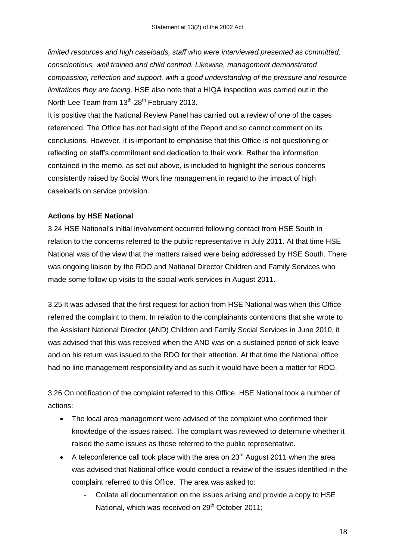*limited resources and high caseloads, staff who were interviewed presented as committed, conscientious, well trained and child centred. Likewise, management demonstrated compassion, reflection and support, with a good understanding of the pressure and resource limitations they are facing.* HSE also note that a HIQA inspection was carried out in the North Lee Team from  $13^{th}$ -28<sup>th</sup> February 2013.

It is positive that the National Review Panel has carried out a review of one of the cases referenced. The Office has not had sight of the Report and so cannot comment on its conclusions. However, it is important to emphasise that this Office is not questioning or reflecting on staff"s commitment and dedication to their work. Rather the information contained in the memo, as set out above, is included to highlight the serious concerns consistently raised by Social Work line management in regard to the impact of high caseloads on service provision.

#### **Actions by HSE National**

3.24 HSE National"s initial involvement occurred following contact from HSE South in relation to the concerns referred to the public representative in July 2011. At that time HSE National was of the view that the matters raised were being addressed by HSE South. There was ongoing liaison by the RDO and National Director Children and Family Services who made some follow up visits to the social work services in August 2011.

3.25 It was advised that the first request for action from HSE National was when this Office referred the complaint to them. In relation to the complainants contentions that she wrote to the Assistant National Director (AND) Children and Family Social Services in June 2010, it was advised that this was received when the AND was on a sustained period of sick leave and on his return was issued to the RDO for their attention. At that time the National office had no line management responsibility and as such it would have been a matter for RDO.

3.26 On notification of the complaint referred to this Office, HSE National took a number of actions:

- The local area management were advised of the complaint who confirmed their knowledge of the issues raised. The complaint was reviewed to determine whether it raised the same issues as those referred to the public representative.
- A teleconference call took place with the area on  $23<sup>rd</sup>$  August 2011 when the area was advised that National office would conduct a review of the issues identified in the complaint referred to this Office. The area was asked to:
	- Collate all documentation on the issues arising and provide a copy to HSE National, which was received on 29<sup>th</sup> October 2011: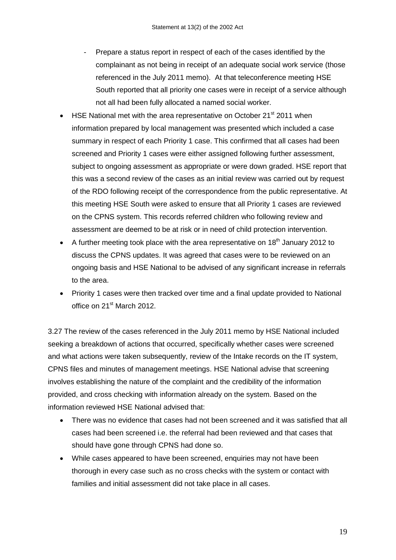- Prepare a status report in respect of each of the cases identified by the complainant as not being in receipt of an adequate social work service (those referenced in the July 2011 memo). At that teleconference meeting HSE South reported that all priority one cases were in receipt of a service although not all had been fully allocated a named social worker.
- $\bullet$  HSE National met with the area representative on October 21<sup>st</sup> 2011 when information prepared by local management was presented which included a case summary in respect of each Priority 1 case. This confirmed that all cases had been screened and Priority 1 cases were either assigned following further assessment, subject to ongoing assessment as appropriate or were down graded. HSE report that this was a second review of the cases as an initial review was carried out by request of the RDO following receipt of the correspondence from the public representative. At this meeting HSE South were asked to ensure that all Priority 1 cases are reviewed on the CPNS system. This records referred children who following review and assessment are deemed to be at risk or in need of child protection intervention.
- A further meeting took place with the area representative on  $18<sup>th</sup>$  January 2012 to discuss the CPNS updates. It was agreed that cases were to be reviewed on an ongoing basis and HSE National to be advised of any significant increase in referrals to the area.
- Priority 1 cases were then tracked over time and a final update provided to National office on 21<sup>st</sup> March 2012.

3.27 The review of the cases referenced in the July 2011 memo by HSE National included seeking a breakdown of actions that occurred, specifically whether cases were screened and what actions were taken subsequently, review of the Intake records on the IT system, CPNS files and minutes of management meetings. HSE National advise that screening involves establishing the nature of the complaint and the credibility of the information provided, and cross checking with information already on the system. Based on the information reviewed HSE National advised that:

- There was no evidence that cases had not been screened and it was satisfied that all cases had been screened i.e. the referral had been reviewed and that cases that should have gone through CPNS had done so.
- While cases appeared to have been screened, enquiries may not have been thorough in every case such as no cross checks with the system or contact with families and initial assessment did not take place in all cases.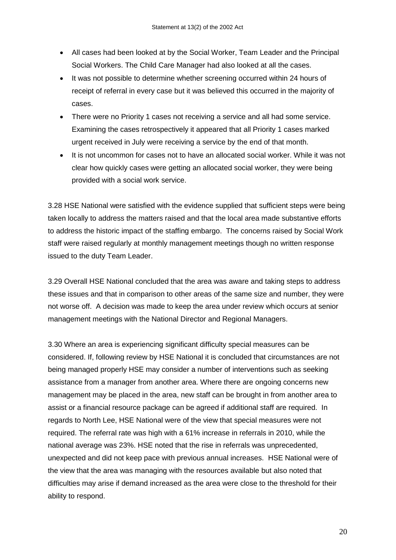- All cases had been looked at by the Social Worker, Team Leader and the Principal Social Workers. The Child Care Manager had also looked at all the cases.
- It was not possible to determine whether screening occurred within 24 hours of receipt of referral in every case but it was believed this occurred in the majority of cases.
- There were no Priority 1 cases not receiving a service and all had some service. Examining the cases retrospectively it appeared that all Priority 1 cases marked urgent received in July were receiving a service by the end of that month.
- It is not uncommon for cases not to have an allocated social worker. While it was not clear how quickly cases were getting an allocated social worker, they were being provided with a social work service.

3.28 HSE National were satisfied with the evidence supplied that sufficient steps were being taken locally to address the matters raised and that the local area made substantive efforts to address the historic impact of the staffing embargo. The concerns raised by Social Work staff were raised regularly at monthly management meetings though no written response issued to the duty Team Leader.

3.29 Overall HSE National concluded that the area was aware and taking steps to address these issues and that in comparison to other areas of the same size and number, they were not worse off. A decision was made to keep the area under review which occurs at senior management meetings with the National Director and Regional Managers.

3.30 Where an area is experiencing significant difficulty special measures can be considered. If, following review by HSE National it is concluded that circumstances are not being managed properly HSE may consider a number of interventions such as seeking assistance from a manager from another area. Where there are ongoing concerns new management may be placed in the area, new staff can be brought in from another area to assist or a financial resource package can be agreed if additional staff are required. In regards to North Lee, HSE National were of the view that special measures were not required. The referral rate was high with a 61% increase in referrals in 2010, while the national average was 23%. HSE noted that the rise in referrals was unprecedented, unexpected and did not keep pace with previous annual increases. HSE National were of the view that the area was managing with the resources available but also noted that difficulties may arise if demand increased as the area were close to the threshold for their ability to respond.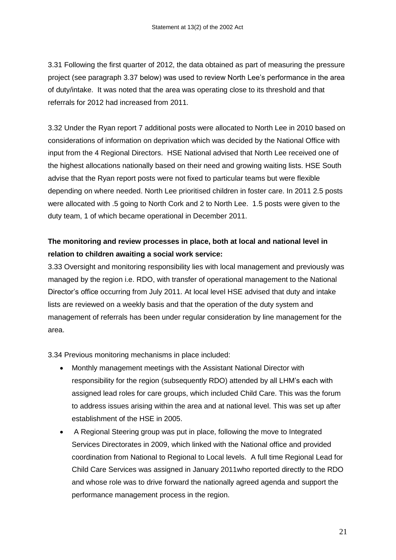3.31 Following the first quarter of 2012, the data obtained as part of measuring the pressure project (see paragraph 3.37 below) was used to review North Lee"s performance in the area of duty/intake. It was noted that the area was operating close to its threshold and that referrals for 2012 had increased from 2011.

3.32 Under the Ryan report 7 additional posts were allocated to North Lee in 2010 based on considerations of information on deprivation which was decided by the National Office with input from the 4 Regional Directors. HSE National advised that North Lee received one of the highest allocations nationally based on their need and growing waiting lists. HSE South advise that the Ryan report posts were not fixed to particular teams but were flexible depending on where needed. North Lee prioritised children in foster care. In 2011 2.5 posts were allocated with .5 going to North Cork and 2 to North Lee. 1.5 posts were given to the duty team, 1 of which became operational in December 2011.

### **The monitoring and review processes in place, both at local and national level in relation to children awaiting a social work service:**

3.33 Oversight and monitoring responsibility lies with local management and previously was managed by the region i.e. RDO, with transfer of operational management to the National Director"s office occurring from July 2011. At local level HSE advised that duty and intake lists are reviewed on a weekly basis and that the operation of the duty system and management of referrals has been under regular consideration by line management for the area.

3.34 Previous monitoring mechanisms in place included:

- Monthly management meetings with the Assistant National Director with responsibility for the region (subsequently RDO) attended by all LHM"s each with assigned lead roles for care groups, which included Child Care. This was the forum to address issues arising within the area and at national level. This was set up after establishment of the HSE in 2005.
- A Regional Steering group was put in place, following the move to Integrated Services Directorates in 2009, which linked with the National office and provided coordination from National to Regional to Local levels. A full time Regional Lead for Child Care Services was assigned in January 2011who reported directly to the RDO and whose role was to drive forward the nationally agreed agenda and support the performance management process in the region.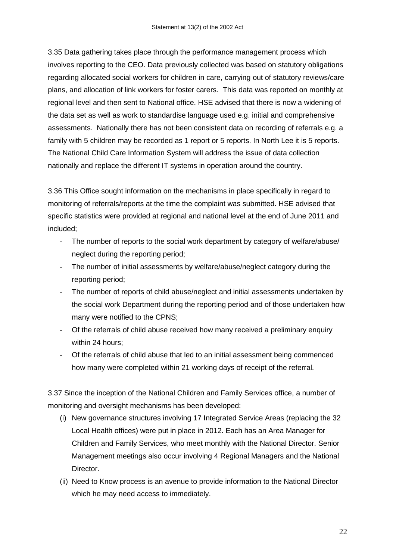3.35 Data gathering takes place through the performance management process which involves reporting to the CEO. Data previously collected was based on statutory obligations regarding allocated social workers for children in care, carrying out of statutory reviews/care plans, and allocation of link workers for foster carers. This data was reported on monthly at regional level and then sent to National office. HSE advised that there is now a widening of the data set as well as work to standardise language used e.g. initial and comprehensive assessments. Nationally there has not been consistent data on recording of referrals e.g. a family with 5 children may be recorded as 1 report or 5 reports. In North Lee it is 5 reports. The National Child Care Information System will address the issue of data collection nationally and replace the different IT systems in operation around the country.

3.36 This Office sought information on the mechanisms in place specifically in regard to monitoring of referrals/reports at the time the complaint was submitted. HSE advised that specific statistics were provided at regional and national level at the end of June 2011 and included;

- The number of reports to the social work department by category of welfare/abuse/ neglect during the reporting period;
- The number of initial assessments by welfare/abuse/neglect category during the reporting period;
- The number of reports of child abuse/neglect and initial assessments undertaken by the social work Department during the reporting period and of those undertaken how many were notified to the CPNS;
- Of the referrals of child abuse received how many received a preliminary enquiry within 24 hours;
- Of the referrals of child abuse that led to an initial assessment being commenced how many were completed within 21 working days of receipt of the referral.

3.37 Since the inception of the National Children and Family Services office, a number of monitoring and oversight mechanisms has been developed:

- (i) New governance structures involving 17 Integrated Service Areas (replacing the 32 Local Health offices) were put in place in 2012. Each has an Area Manager for Children and Family Services, who meet monthly with the National Director. Senior Management meetings also occur involving 4 Regional Managers and the National Director.
- (ii) Need to Know process is an avenue to provide information to the National Director which he may need access to immediately.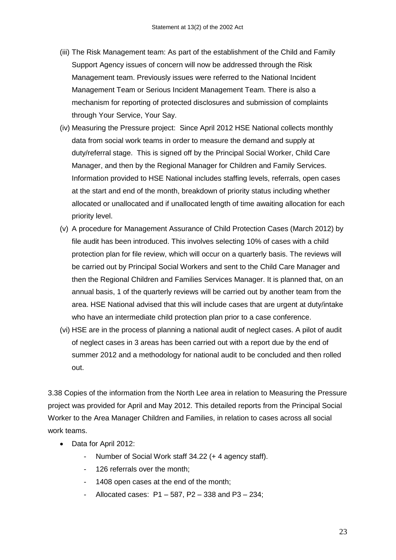- (iii) The Risk Management team: As part of the establishment of the Child and Family Support Agency issues of concern will now be addressed through the Risk Management team. Previously issues were referred to the National Incident Management Team or Serious Incident Management Team. There is also a mechanism for reporting of protected disclosures and submission of complaints through Your Service, Your Say.
- (iv) Measuring the Pressure project: Since April 2012 HSE National collects monthly data from social work teams in order to measure the demand and supply at duty/referral stage. This is signed off by the Principal Social Worker, Child Care Manager, and then by the Regional Manager for Children and Family Services. Information provided to HSE National includes staffing levels, referrals, open cases at the start and end of the month, breakdown of priority status including whether allocated or unallocated and if unallocated length of time awaiting allocation for each priority level.
- (v) A procedure for Management Assurance of Child Protection Cases (March 2012) by file audit has been introduced. This involves selecting 10% of cases with a child protection plan for file review, which will occur on a quarterly basis. The reviews will be carried out by Principal Social Workers and sent to the Child Care Manager and then the Regional Children and Families Services Manager. It is planned that, on an annual basis, 1 of the quarterly reviews will be carried out by another team from the area. HSE National advised that this will include cases that are urgent at duty/intake who have an intermediate child protection plan prior to a case conference.
- (vi) HSE are in the process of planning a national audit of neglect cases. A pilot of audit of neglect cases in 3 areas has been carried out with a report due by the end of summer 2012 and a methodology for national audit to be concluded and then rolled out.

3.38 Copies of the information from the North Lee area in relation to Measuring the Pressure project was provided for April and May 2012. This detailed reports from the Principal Social Worker to the Area Manager Children and Families, in relation to cases across all social work teams.

- Data for April 2012:
	- Number of Social Work staff 34.22 (+ 4 agency staff).
	- 126 referrals over the month;
	- 1408 open cases at the end of the month;
	- Allocated cases: P1 587, P2 338 and P3 234;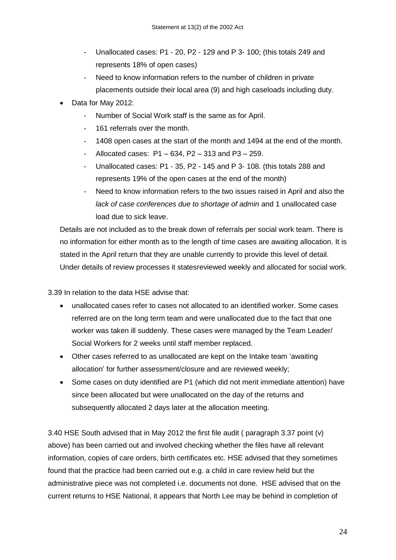- Unallocated cases: P1 20, P2 129 and P 3- 100; (this totals 249 and represents 18% of open cases)
- Need to know information refers to the number of children in private placements outside their local area (9) and high caseloads including duty.
- Data for May 2012:
	- Number of Social Work staff is the same as for April.
	- 161 referrals over the month.
	- 1408 open cases at the start of the month and 1494 at the end of the month.
	- Allocated cases:  $P1 634$ ,  $P2 313$  and  $P3 259$ .
	- Unallocated cases: P1 35, P2 145 and P 3- 108. (this totals 288 and represents 19% of the open cases at the end of the month)
	- Need to know information refers to the two issues raised in April and also the *lack of case conferences due to shortage of admin* and 1 unallocated case load due to sick leave.

Details are not included as to the break down of referrals per social work team. There is no information for either month as to the length of time cases are awaiting allocation. It is stated in the April return that they are unable currently to provide this level of detail. Under details of review processes it statesreviewed weekly and allocated for social work.

3.39 In relation to the data HSE advise that:

- unallocated cases refer to cases not allocated to an identified worker. Some cases referred are on the long term team and were unallocated due to the fact that one worker was taken ill suddenly. These cases were managed by the Team Leader/ Social Workers for 2 weeks until staff member replaced.
- Other cases referred to as unallocated are kept on the Intake team "awaiting allocation' for further assessment/closure and are reviewed weekly;
- Some cases on duty identified are P1 (which did not merit immediate attention) have since been allocated but were unallocated on the day of the returns and subsequently allocated 2 days later at the allocation meeting.

3.40 HSE South advised that in May 2012 the first file audit ( paragraph 3.37 point (v) above) has been carried out and involved checking whether the files have all relevant information, copies of care orders, birth certificates etc. HSE advised that they sometimes found that the practice had been carried out e.g. a child in care review held but the administrative piece was not completed i.e. documents not done. HSE advised that on the current returns to HSE National, it appears that North Lee may be behind in completion of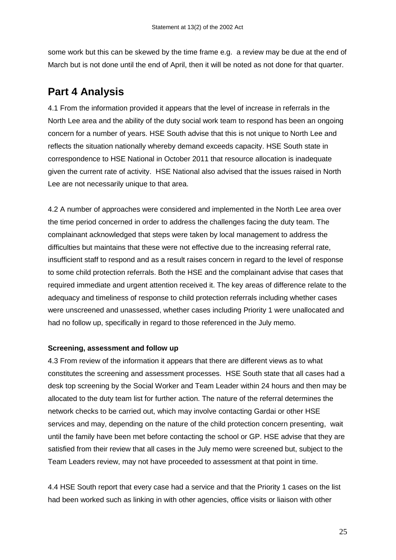some work but this can be skewed by the time frame e.g. a review may be due at the end of March but is not done until the end of April, then it will be noted as not done for that quarter.

## **Part 4 Analysis**

4.1 From the information provided it appears that the level of increase in referrals in the North Lee area and the ability of the duty social work team to respond has been an ongoing concern for a number of years. HSE South advise that this is not unique to North Lee and reflects the situation nationally whereby demand exceeds capacity. HSE South state in correspondence to HSE National in October 2011 that resource allocation is inadequate given the current rate of activity. HSE National also advised that the issues raised in North Lee are not necessarily unique to that area.

4.2 A number of approaches were considered and implemented in the North Lee area over the time period concerned in order to address the challenges facing the duty team. The complainant acknowledged that steps were taken by local management to address the difficulties but maintains that these were not effective due to the increasing referral rate, insufficient staff to respond and as a result raises concern in regard to the level of response to some child protection referrals. Both the HSE and the complainant advise that cases that required immediate and urgent attention received it. The key areas of difference relate to the adequacy and timeliness of response to child protection referrals including whether cases were unscreened and unassessed, whether cases including Priority 1 were unallocated and had no follow up, specifically in regard to those referenced in the July memo.

#### **Screening, assessment and follow up**

4.3 From review of the information it appears that there are different views as to what constitutes the screening and assessment processes. HSE South state that all cases had a desk top screening by the Social Worker and Team Leader within 24 hours and then may be allocated to the duty team list for further action. The nature of the referral determines the network checks to be carried out, which may involve contacting Gardai or other HSE services and may, depending on the nature of the child protection concern presenting, wait until the family have been met before contacting the school or GP. HSE advise that they are satisfied from their review that all cases in the July memo were screened but, subject to the Team Leaders review, may not have proceeded to assessment at that point in time.

4.4 HSE South report that every case had a service and that the Priority 1 cases on the list had been worked such as linking in with other agencies, office visits or liaison with other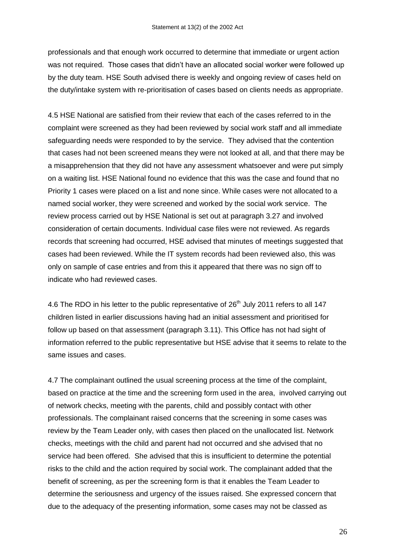professionals and that enough work occurred to determine that immediate or urgent action was not required. Those cases that didn"t have an allocated social worker were followed up by the duty team. HSE South advised there is weekly and ongoing review of cases held on the duty/intake system with re-prioritisation of cases based on clients needs as appropriate.

4.5 HSE National are satisfied from their review that each of the cases referred to in the complaint were screened as they had been reviewed by social work staff and all immediate safeguarding needs were responded to by the service. They advised that the contention that cases had not been screened means they were not looked at all, and that there may be a misapprehension that they did not have any assessment whatsoever and were put simply on a waiting list. HSE National found no evidence that this was the case and found that no Priority 1 cases were placed on a list and none since. While cases were not allocated to a named social worker, they were screened and worked by the social work service. The review process carried out by HSE National is set out at paragraph 3.27 and involved consideration of certain documents. Individual case files were not reviewed. As regards records that screening had occurred, HSE advised that minutes of meetings suggested that cases had been reviewed. While the IT system records had been reviewed also, this was only on sample of case entries and from this it appeared that there was no sign off to indicate who had reviewed cases.

4.6 The RDO in his letter to the public representative of  $26<sup>th</sup>$  July 2011 refers to all 147 children listed in earlier discussions having had an initial assessment and prioritised for follow up based on that assessment (paragraph 3.11). This Office has not had sight of information referred to the public representative but HSE advise that it seems to relate to the same issues and cases.

4.7 The complainant outlined the usual screening process at the time of the complaint, based on practice at the time and the screening form used in the area, involved carrying out of network checks, meeting with the parents, child and possibly contact with other professionals. The complainant raised concerns that the screening in some cases was review by the Team Leader only, with cases then placed on the unallocated list. Network checks, meetings with the child and parent had not occurred and she advised that no service had been offered. She advised that this is insufficient to determine the potential risks to the child and the action required by social work. The complainant added that the benefit of screening, as per the screening form is that it enables the Team Leader to determine the seriousness and urgency of the issues raised. She expressed concern that due to the adequacy of the presenting information, some cases may not be classed as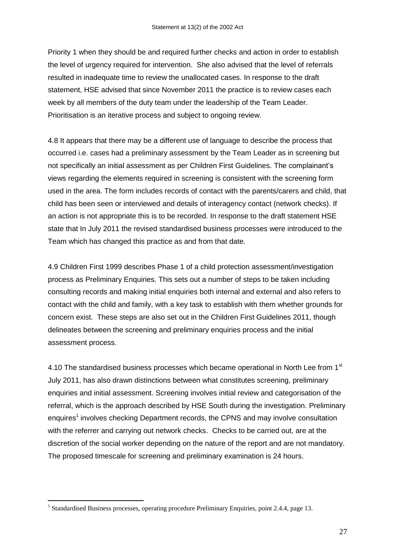Priority 1 when they should be and required further checks and action in order to establish the level of urgency required for intervention. She also advised that the level of referrals resulted in inadequate time to review the unallocated cases. In response to the draft statement, HSE advised that since November 2011 the practice is to review cases each week by all members of the duty team under the leadership of the Team Leader. Prioritisation is an iterative process and subject to ongoing review.

4.8 It appears that there may be a different use of language to describe the process that occurred i.e. cases had a preliminary assessment by the Team Leader as in screening but not specifically an initial assessment as per Children First Guidelines. The complainant"s views regarding the elements required in screening is consistent with the screening form used in the area. The form includes records of contact with the parents/carers and child, that child has been seen or interviewed and details of interagency contact (network checks). If an action is not appropriate this is to be recorded. In response to the draft statement HSE state that In July 2011 the revised standardised business processes were introduced to the Team which has changed this practice as and from that date.

4.9 Children First 1999 describes Phase 1 of a child protection assessment/investigation process as Preliminary Enquiries. This sets out a number of steps to be taken including consulting records and making initial enquiries both internal and external and also refers to contact with the child and family, with a key task to establish with them whether grounds for concern exist. These steps are also set out in the Children First Guidelines 2011, though delineates between the screening and preliminary enquiries process and the initial assessment process.

4.10 The standardised business processes which became operational in North Lee from 1<sup>st</sup> July 2011, has also drawn distinctions between what constitutes screening, preliminary enquiries and initial assessment. Screening involves initial review and categorisation of the referral, which is the approach described by HSE South during the investigation. Preliminary enquires<sup>1</sup> involves checking Department records, the CPNS and may involve consultation with the referrer and carrying out network checks. Checks to be carried out, are at the discretion of the social worker depending on the nature of the report and are not mandatory. The proposed timescale for screening and preliminary examination is 24 hours.

1

<sup>&</sup>lt;sup>1</sup> Standardised Business processes, operating procedure Preliminary Enquiries, point 2.4.4, page 13.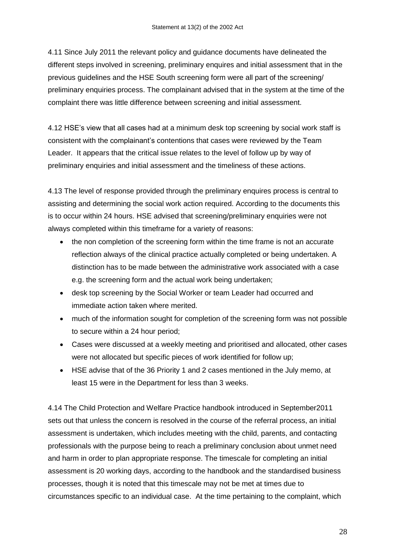4.11 Since July 2011 the relevant policy and guidance documents have delineated the different steps involved in screening, preliminary enquires and initial assessment that in the previous guidelines and the HSE South screening form were all part of the screening/ preliminary enquiries process. The complainant advised that in the system at the time of the complaint there was little difference between screening and initial assessment.

4.12 HSE"s view that all cases had at a minimum desk top screening by social work staff is consistent with the complainant"s contentions that cases were reviewed by the Team Leader. It appears that the critical issue relates to the level of follow up by way of preliminary enquiries and initial assessment and the timeliness of these actions.

4.13 The level of response provided through the preliminary enquires process is central to assisting and determining the social work action required. According to the documents this is to occur within 24 hours. HSE advised that screening/preliminary enquiries were not always completed within this timeframe for a variety of reasons:

- the non completion of the screening form within the time frame is not an accurate reflection always of the clinical practice actually completed or being undertaken. A distinction has to be made between the administrative work associated with a case e.g. the screening form and the actual work being undertaken;
- desk top screening by the Social Worker or team Leader had occurred and immediate action taken where merited.
- much of the information sought for completion of the screening form was not possible to secure within a 24 hour period;
- Cases were discussed at a weekly meeting and prioritised and allocated, other cases were not allocated but specific pieces of work identified for follow up;
- HSE advise that of the 36 Priority 1 and 2 cases mentioned in the July memo, at least 15 were in the Department for less than 3 weeks.

4.14 The Child Protection and Welfare Practice handbook introduced in September2011 sets out that unless the concern is resolved in the course of the referral process, an initial assessment is undertaken, which includes meeting with the child, parents, and contacting professionals with the purpose being to reach a preliminary conclusion about unmet need and harm in order to plan appropriate response. The timescale for completing an initial assessment is 20 working days, according to the handbook and the standardised business processes, though it is noted that this timescale may not be met at times due to circumstances specific to an individual case. At the time pertaining to the complaint, which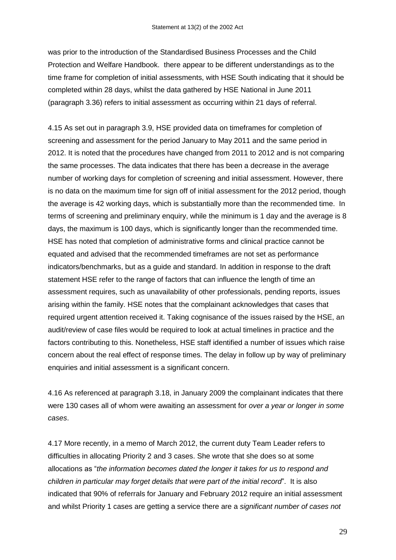was prior to the introduction of the Standardised Business Processes and the Child Protection and Welfare Handbook. there appear to be different understandings as to the time frame for completion of initial assessments, with HSE South indicating that it should be completed within 28 days, whilst the data gathered by HSE National in June 2011 (paragraph 3.36) refers to initial assessment as occurring within 21 days of referral.

4.15 As set out in paragraph 3.9, HSE provided data on timeframes for completion of screening and assessment for the period January to May 2011 and the same period in 2012. It is noted that the procedures have changed from 2011 to 2012 and is not comparing the same processes. The data indicates that there has been a decrease in the average number of working days for completion of screening and initial assessment. However, there is no data on the maximum time for sign off of initial assessment for the 2012 period, though the average is 42 working days, which is substantially more than the recommended time. In terms of screening and preliminary enquiry, while the minimum is 1 day and the average is 8 days, the maximum is 100 days, which is significantly longer than the recommended time. HSE has noted that completion of administrative forms and clinical practice cannot be equated and advised that the recommended timeframes are not set as performance indicators/benchmarks, but as a guide and standard. In addition in response to the draft statement HSE refer to the range of factors that can influence the length of time an assessment requires, such as unavailability of other professionals, pending reports, issues arising within the family. HSE notes that the complainant acknowledges that cases that required urgent attention received it. Taking cognisance of the issues raised by the HSE, an audit/review of case files would be required to look at actual timelines in practice and the factors contributing to this. Nonetheless, HSE staff identified a number of issues which raise concern about the real effect of response times. The delay in follow up by way of preliminary enquiries and initial assessment is a significant concern.

4.16 As referenced at paragraph 3.18, in January 2009 the complainant indicates that there were 130 cases all of whom were awaiting an assessment for *over a year or longer in some cases*.

4.17 More recently, in a memo of March 2012, the current duty Team Leader refers to difficulties in allocating Priority 2 and 3 cases. She wrote that she does so at some allocations as "*the information becomes dated the longer it takes for us to respond and children in particular may forget details that were part of the initial record*". It is also indicated that 90% of referrals for January and February 2012 require an initial assessment and whilst Priority 1 cases are getting a service there are a *significant number of cases not*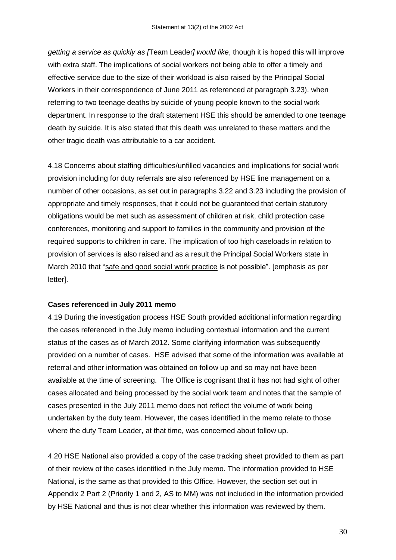*getting a service as quickly as [*Team Leader*] would like*, though it is hoped this will improve with extra staff. The implications of social workers not being able to offer a timely and effective service due to the size of their workload is also raised by the Principal Social Workers in their correspondence of June 2011 as referenced at paragraph 3.23). when referring to two teenage deaths by suicide of young people known to the social work department. In response to the draft statement HSE this should be amended to one teenage death by suicide. It is also stated that this death was unrelated to these matters and the other tragic death was attributable to a car accident.

4.18 Concerns about staffing difficulties/unfilled vacancies and implications for social work provision including for duty referrals are also referenced by HSE line management on a number of other occasions, as set out in paragraphs 3.22 and 3.23 including the provision of appropriate and timely responses, that it could not be guaranteed that certain statutory obligations would be met such as assessment of children at risk, child protection case conferences, monitoring and support to families in the community and provision of the required supports to children in care. The implication of too high caseloads in relation to provision of services is also raised and as a result the Principal Social Workers state in March 2010 that "safe and good social work practice is not possible". [emphasis as per letter].

#### **Cases referenced in July 2011 memo**

4.19 During the investigation process HSE South provided additional information regarding the cases referenced in the July memo including contextual information and the current status of the cases as of March 2012. Some clarifying information was subsequently provided on a number of cases. HSE advised that some of the information was available at referral and other information was obtained on follow up and so may not have been available at the time of screening. The Office is cognisant that it has not had sight of other cases allocated and being processed by the social work team and notes that the sample of cases presented in the July 2011 memo does not reflect the volume of work being undertaken by the duty team. However, the cases identified in the memo relate to those where the duty Team Leader, at that time, was concerned about follow up.

4.20 HSE National also provided a copy of the case tracking sheet provided to them as part of their review of the cases identified in the July memo. The information provided to HSE National, is the same as that provided to this Office. However, the section set out in Appendix 2 Part 2 (Priority 1 and 2, AS to MM) was not included in the information provided by HSE National and thus is not clear whether this information was reviewed by them.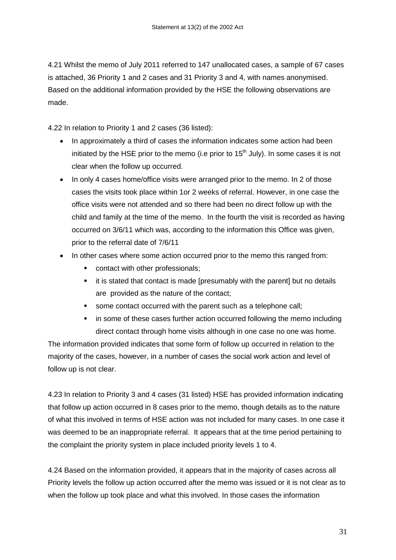4.21 Whilst the memo of July 2011 referred to 147 unallocated cases, a sample of 67 cases is attached, 36 Priority 1 and 2 cases and 31 Priority 3 and 4, with names anonymised. Based on the additional information provided by the HSE the following observations are made.

4.22 In relation to Priority 1 and 2 cases (36 listed):

- In approximately a third of cases the information indicates some action had been initiated by the HSE prior to the memo (i.e prior to  $15<sup>th</sup>$  July). In some cases it is not clear when the follow up occurred.
- In only 4 cases home/office visits were arranged prior to the memo. In 2 of those cases the visits took place within 1or 2 weeks of referral. However, in one case the office visits were not attended and so there had been no direct follow up with the child and family at the time of the memo. In the fourth the visit is recorded as having occurred on 3/6/11 which was, according to the information this Office was given, prior to the referral date of 7/6/11
- In other cases where some action occurred prior to the memo this ranged from:
	- **•** contact with other professionals;
	- it is stated that contact is made [presumably with the parent] but no details are provided as the nature of the contact;
	- some contact occurred with the parent such as a telephone call;
	- in some of these cases further action occurred following the memo including direct contact through home visits although in one case no one was home.

The information provided indicates that some form of follow up occurred in relation to the majority of the cases, however, in a number of cases the social work action and level of follow up is not clear.

4.23 In relation to Priority 3 and 4 cases (31 listed) HSE has provided information indicating that follow up action occurred in 8 cases prior to the memo, though details as to the nature of what this involved in terms of HSE action was not included for many cases. In one case it was deemed to be an inappropriate referral. It appears that at the time period pertaining to the complaint the priority system in place included priority levels 1 to 4.

4.24 Based on the information provided, it appears that in the majority of cases across all Priority levels the follow up action occurred after the memo was issued or it is not clear as to when the follow up took place and what this involved. In those cases the information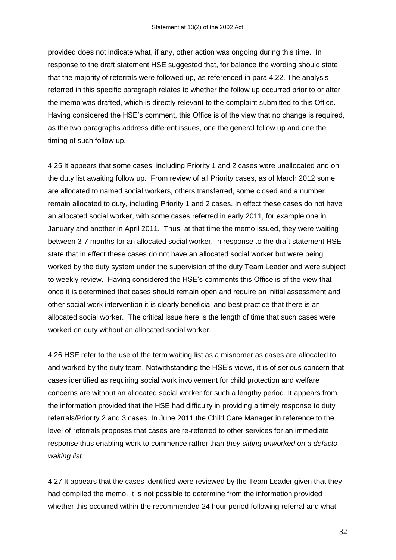provided does not indicate what, if any, other action was ongoing during this time. In response to the draft statement HSE suggested that, for balance the wording should state that the majority of referrals were followed up, as referenced in para 4.22. The analysis referred in this specific paragraph relates to whether the follow up occurred prior to or after the memo was drafted, which is directly relevant to the complaint submitted to this Office. Having considered the HSE"s comment, this Office is of the view that no change is required, as the two paragraphs address different issues, one the general follow up and one the timing of such follow up.

4.25 It appears that some cases, including Priority 1 and 2 cases were unallocated and on the duty list awaiting follow up. From review of all Priority cases, as of March 2012 some are allocated to named social workers, others transferred, some closed and a number remain allocated to duty, including Priority 1 and 2 cases. In effect these cases do not have an allocated social worker, with some cases referred in early 2011, for example one in January and another in April 2011. Thus, at that time the memo issued, they were waiting between 3-7 months for an allocated social worker. In response to the draft statement HSE state that in effect these cases do not have an allocated social worker but were being worked by the duty system under the supervision of the duty Team Leader and were subject to weekly review. Having considered the HSE"s comments this Office is of the view that once it is determined that cases should remain open and require an initial assessment and other social work intervention it is clearly beneficial and best practice that there is an allocated social worker. The critical issue here is the length of time that such cases were worked on duty without an allocated social worker.

4.26 HSE refer to the use of the term waiting list as a misnomer as cases are allocated to and worked by the duty team. Notwithstanding the HSE"s views, it is of serious concern that cases identified as requiring social work involvement for child protection and welfare concerns are without an allocated social worker for such a lengthy period. It appears from the information provided that the HSE had difficulty in providing a timely response to duty referrals/Priority 2 and 3 cases. In June 2011 the Child Care Manager in reference to the level of referrals proposes that cases are re-referred to other services for an immediate response thus enabling work to commence rather than *they sitting unworked on a defacto waiting list.* 

4.27 It appears that the cases identified were reviewed by the Team Leader given that they had compiled the memo. It is not possible to determine from the information provided whether this occurred within the recommended 24 hour period following referral and what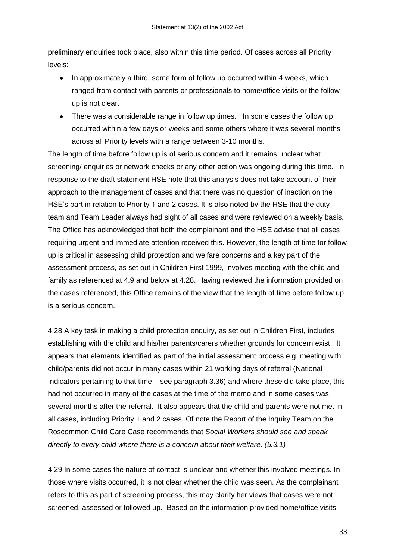preliminary enquiries took place, also within this time period. Of cases across all Priority levels:

- In approximately a third, some form of follow up occurred within 4 weeks, which ranged from contact with parents or professionals to home/office visits or the follow up is not clear.
- There was a considerable range in follow up times. In some cases the follow up occurred within a few days or weeks and some others where it was several months across all Priority levels with a range between 3-10 months.

The length of time before follow up is of serious concern and it remains unclear what screening/ enquiries or network checks or any other action was ongoing during this time. In response to the draft statement HSE note that this analysis does not take account of their approach to the management of cases and that there was no question of inaction on the HSE's part in relation to Priority 1 and 2 cases. It is also noted by the HSE that the duty team and Team Leader always had sight of all cases and were reviewed on a weekly basis. The Office has acknowledged that both the complainant and the HSE advise that all cases requiring urgent and immediate attention received this. However, the length of time for follow up is critical in assessing child protection and welfare concerns and a key part of the assessment process, as set out in Children First 1999, involves meeting with the child and family as referenced at 4.9 and below at 4.28. Having reviewed the information provided on the cases referenced, this Office remains of the view that the length of time before follow up is a serious concern.

4.28 A key task in making a child protection enquiry, as set out in Children First, includes establishing with the child and his/her parents/carers whether grounds for concern exist.It appears that elements identified as part of the initial assessment process e.g. meeting with child/parents did not occur in many cases within 21 working days of referral (National Indicators pertaining to that time – see paragraph 3.36) and where these did take place, this had not occurred in many of the cases at the time of the memo and in some cases was several months after the referral. It also appears that the child and parents were not met in all cases, including Priority 1 and 2 cases. Of note the Report of the Inquiry Team on the Roscommon Child Care Case recommends that *Social Workers should see and speak directly to every child where there is a concern about their welfare. (5.3.1)*

4.29 In some cases the nature of contact is unclear and whether this involved meetings. In those where visits occurred, it is not clear whether the child was seen. As the complainant refers to this as part of screening process, this may clarify her views that cases were not screened, assessed or followed up. Based on the information provided home/office visits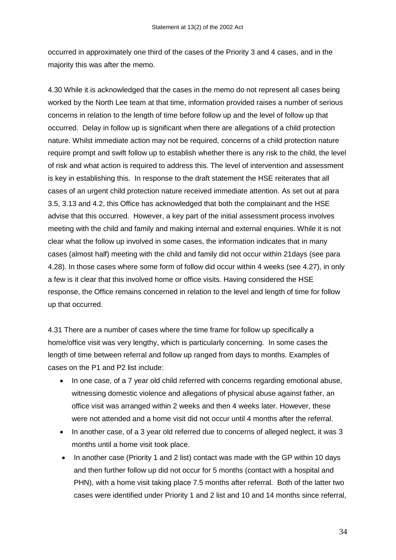occurred in approximately one third of the cases of the Priority 3 and 4 cases, and in the majority this was after the memo.

4.30 While it is acknowledged that the cases in the memo do not represent all cases being worked by the North Lee team at that time, information provided raises a number of serious concerns in relation to the length of time before follow up and the level of follow up that occurred. Delay in follow up is significant when there are allegations of a child protection nature. Whilst immediate action may not be required, concerns of a child protection nature require prompt and swift follow up to establish whether there is any risk to the child, the level of risk and what action is required to address this. The level of intervention and assessment is key in establishing this. In response to the draft statement the HSE reiterates that all cases of an urgent child protection nature received immediate attention. As set out at para 3.5, 3.13 and 4.2, this Office has acknowledged that both the complainant and the HSE advise that this occurred. However, a key part of the initial assessment process involves meeting with the child and family and making internal and external enquiries. While it is not clear what the follow up involved in some cases, the information indicates that in many cases (almost half) meeting with the child and family did not occur within 21days (see para 4.28). In those cases where some form of follow did occur within 4 weeks (see 4.27), in only a few is it clear that this involved home or office visits. Having considered the HSE response, the Office remains concerned in relation to the level and length of time for follow up that occurred.

4.31 There are a number of cases where the time frame for follow up specifically a home/office visit was very lengthy, which is particularly concerning. In some cases the length of time between referral and follow up ranged from days to months. Examples of cases on the P1 and P2 list include:

- In one case, of a 7 year old child referred with concerns regarding emotional abuse, witnessing domestic violence and allegations of physical abuse against father, an office visit was arranged within 2 weeks and then 4 weeks later. However, these were not attended and a home visit did not occur until 4 months after the referral.
- In another case, of a 3 year old referred due to concerns of alleged neglect, it was 3 months until a home visit took place.
- In another case (Priority 1 and 2 list) contact was made with the GP within 10 days and then further follow up did not occur for 5 months (contact with a hospital and PHN), with a home visit taking place 7.5 months after referral. Both of the latter two cases were identified under Priority 1 and 2 list and 10 and 14 months since referral,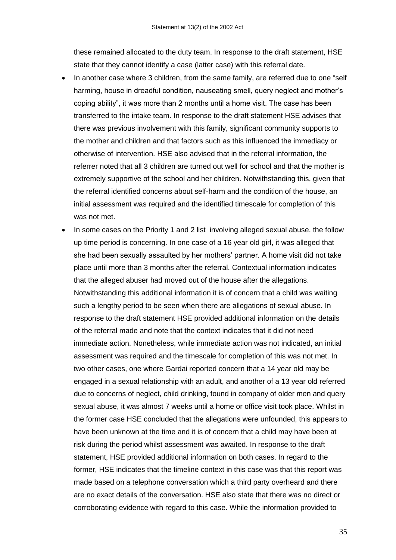these remained allocated to the duty team. In response to the draft statement, HSE state that they cannot identify a case (latter case) with this referral date.

- In another case where 3 children, from the same family, are referred due to one "self harming, house in dreadful condition, nauseating smell, query neglect and mother's coping ability", it was more than 2 months until a home visit. The case has been transferred to the intake team. In response to the draft statement HSE advises that there was previous involvement with this family, significant community supports to the mother and children and that factors such as this influenced the immediacy or otherwise of intervention. HSE also advised that in the referral information, the referrer noted that all 3 children are turned out well for school and that the mother is extremely supportive of the school and her children. Notwithstanding this, given that the referral identified concerns about self-harm and the condition of the house, an initial assessment was required and the identified timescale for completion of this was not met.
- In some cases on the Priority 1 and 2 list involving alleged sexual abuse, the follow up time period is concerning. In one case of a 16 year old girl, it was alleged that she had been sexually assaulted by her mothers' partner. A home visit did not take place until more than 3 months after the referral. Contextual information indicates that the alleged abuser had moved out of the house after the allegations. Notwithstanding this additional information it is of concern that a child was waiting such a lengthy period to be seen when there are allegations of sexual abuse. In response to the draft statement HSE provided additional information on the details of the referral made and note that the context indicates that it did not need immediate action. Nonetheless, while immediate action was not indicated, an initial assessment was required and the timescale for completion of this was not met. In two other cases, one where Gardai reported concern that a 14 year old may be engaged in a sexual relationship with an adult, and another of a 13 year old referred due to concerns of neglect, child drinking, found in company of older men and query sexual abuse, it was almost 7 weeks until a home or office visit took place. Whilst in the former case HSE concluded that the allegations were unfounded, this appears to have been unknown at the time and it is of concern that a child may have been at risk during the period whilst assessment was awaited. In response to the draft statement, HSE provided additional information on both cases. In regard to the former, HSE indicates that the timeline context in this case was that this report was made based on a telephone conversation which a third party overheard and there are no exact details of the conversation. HSE also state that there was no direct or corroborating evidence with regard to this case. While the information provided to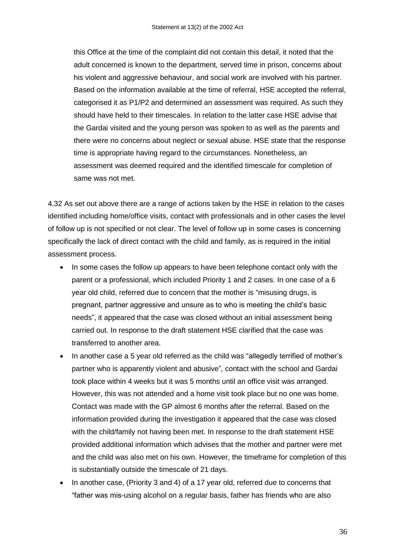this Office at the time of the complaint did not contain this detail, it noted that the adult concerned is known to the department, served time in prison, concerns about his violent and aggressive behaviour, and social work are involved with his partner. Based on the information available at the time of referral, HSE accepted the referral, categorised it as P1/P2 and determined an assessment was required. As such they should have held to their timescales. In relation to the latter case HSE advise that the Gardai visited and the young person was spoken to as well as the parents and there were no concerns about neglect or sexual abuse. HSE state that the response time is appropriate having regard to the circumstances. Nonetheless, an assessment was deemed required and the identified timescale for completion of same was not met.

4.32 As set out above there are a range of actions taken by the HSE in relation to the cases identified including home/office visits, contact with professionals and in other cases the level of follow up is not specified or not clear. The level of follow up in some cases is concerning specifically the lack of direct contact with the child and family, as is required in the initial assessment process.

- In some cases the follow up appears to have been telephone contact only with the parent or a professional, which included Priority 1 and 2 cases. In one case of a 6 year old child, referred due to concern that the mother is "misusing drugs, is pregnant, partner aggressive and unsure as to who is meeting the child"s basic needs", it appeared that the case was closed without an initial assessment being carried out. In response to the draft statement HSE clarified that the case was transferred to another area.
- In another case a 5 year old referred as the child was "allegedly terrified of mother's partner who is apparently violent and abusive"*,* contact with the school and Gardai took place within 4 weeks but it was 5 months until an office visit was arranged. However, this was not attended and a home visit took place but no one was home. Contact was made with the GP almost 6 months after the referral. Based on the information provided during the investigation it appeared that the case was closed with the child/family not having been met. In response to the draft statement HSE provided additional information which advises that the mother and partner were met and the child was also met on his own. However, the timeframe for completion of this is substantially outside the timescale of 21 days.
- In another case, (Priority 3 and 4) of a 17 year old, referred due to concerns that "father was mis-using alcohol on a regular basis, father has friends who are also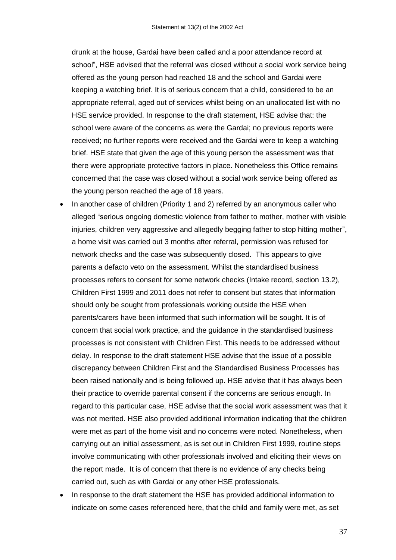drunk at the house, Gardai have been called and a poor attendance record at school", HSE advised that the referral was closed without a social work service being offered as the young person had reached 18 and the school and Gardai were keeping a watching brief. It is of serious concern that a child, considered to be an appropriate referral, aged out of services whilst being on an unallocated list with no HSE service provided. In response to the draft statement, HSE advise that: the school were aware of the concerns as were the Gardai; no previous reports were received; no further reports were received and the Gardai were to keep a watching brief. HSE state that given the age of this young person the assessment was that there were appropriate protective factors in place. Nonetheless this Office remains concerned that the case was closed without a social work service being offered as the young person reached the age of 18 years.

- In another case of children (Priority 1 and 2) referred by an anonymous caller who alleged "serious ongoing domestic violence from father to mother, mother with visible injuries, children very aggressive and allegedly begging father to stop hitting mother", a home visit was carried out 3 months after referral, permission was refused for network checks and the case was subsequently closed. This appears to give parents a defacto veto on the assessment. Whilst the standardised business processes refers to consent for some network checks (Intake record, section 13.2), Children First 1999 and 2011 does not refer to consent but states that information should only be sought from professionals working outside the HSE when parents/carers have been informed that such information will be sought. It is of concern that social work practice, and the guidance in the standardised business processes is not consistent with Children First. This needs to be addressed without delay. In response to the draft statement HSE advise that the issue of a possible discrepancy between Children First and the Standardised Business Processes has been raised nationally and is being followed up. HSE advise that it has always been their practice to override parental consent if the concerns are serious enough. In regard to this particular case, HSE advise that the social work assessment was that it was not merited. HSE also provided additional information indicating that the children were met as part of the home visit and no concerns were noted. Nonetheless, when carrying out an initial assessment, as is set out in Children First 1999, routine steps involve communicating with other professionals involved and eliciting their views on the report made. It is of concern that there is no evidence of any checks being carried out, such as with Gardai or any other HSE professionals.
- In response to the draft statement the HSE has provided additional information to indicate on some cases referenced here, that the child and family were met, as set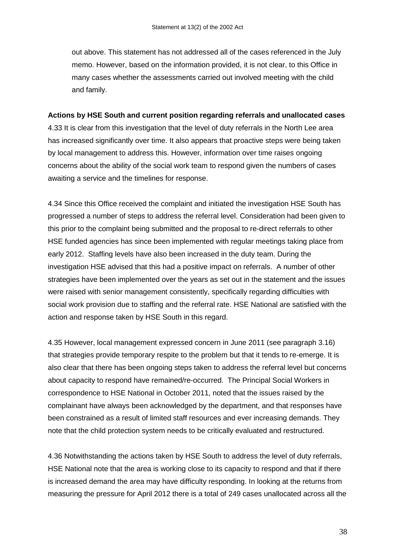out above. This statement has not addressed all of the cases referenced in the July memo. However, based on the information provided, it is not clear, to this Office in many cases whether the assessments carried out involved meeting with the child and family.

#### **Actions by HSE South and current position regarding referrals and unallocated cases**

4.33 It is clear from this investigation that the level of duty referrals in the North Lee area has increased significantly over time. It also appears that proactive steps were being taken by local management to address this. However, information over time raises ongoing concerns about the ability of the social work team to respond given the numbers of cases awaiting a service and the timelines for response.

4.34 Since this Office received the complaint and initiated the investigation HSE South has progressed a number of steps to address the referral level. Consideration had been given to this prior to the complaint being submitted and the proposal to re-direct referrals to other HSE funded agencies has since been implemented with regular meetings taking place from early 2012. Staffing levels have also been increased in the duty team. During the investigation HSE advised that this had a positive impact on referrals. A number of other strategies have been implemented over the years as set out in the statement and the issues were raised with senior management consistently, specifically regarding difficulties with social work provision due to staffing and the referral rate. HSE National are satisfied with the action and response taken by HSE South in this regard.

4.35 However, local management expressed concern in June 2011 (see paragraph 3.16) that strategies provide temporary respite to the problem but that it tends to re-emerge. It is also clear that there has been ongoing steps taken to address the referral level but concerns about capacity to respond have remained/re-occurred. The Principal Social Workers in correspondence to HSE National in October 2011, noted that the issues raised by the complainant have always been acknowledged by the department, and that responses have been constrained as a result of limited staff resources and ever increasing demands. They note that the child protection system needs to be critically evaluated and restructured.

4.36 Notwithstanding the actions taken by HSE South to address the level of duty referrals, HSE National note that the area is working close to its capacity to respond and that if there is increased demand the area may have difficulty responding. In looking at the returns from measuring the pressure for April 2012 there is a total of 249 cases unallocated across all the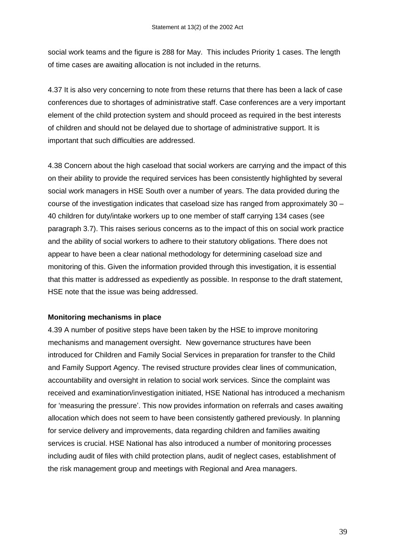social work teams and the figure is 288 for May. This includes Priority 1 cases. The length of time cases are awaiting allocation is not included in the returns.

4.37 It is also very concerning to note from these returns that there has been a lack of case conferences due to shortages of administrative staff. Case conferences are a very important element of the child protection system and should proceed as required in the best interests of children and should not be delayed due to shortage of administrative support. It is important that such difficulties are addressed.

4.38 Concern about the high caseload that social workers are carrying and the impact of this on their ability to provide the required services has been consistently highlighted by several social work managers in HSE South over a number of years. The data provided during the course of the investigation indicates that caseload size has ranged from approximately 30 – 40 children for duty/intake workers up to one member of staff carrying 134 cases (see paragraph 3.7). This raises serious concerns as to the impact of this on social work practice and the ability of social workers to adhere to their statutory obligations. There does not appear to have been a clear national methodology for determining caseload size and monitoring of this. Given the information provided through this investigation, it is essential that this matter is addressed as expediently as possible. In response to the draft statement, HSE note that the issue was being addressed.

#### **Monitoring mechanisms in place**

4.39 A number of positive steps have been taken by the HSE to improve monitoring mechanisms and management oversight. New governance structures have been introduced for Children and Family Social Services in preparation for transfer to the Child and Family Support Agency. The revised structure provides clear lines of communication, accountability and oversight in relation to social work services. Since the complaint was received and examination/investigation initiated, HSE National has introduced a mechanism for 'measuring the pressure'. This now provides information on referrals and cases awaiting allocation which does not seem to have been consistently gathered previously. In planning for service delivery and improvements, data regarding children and families awaiting services is crucial. HSE National has also introduced a number of monitoring processes including audit of files with child protection plans, audit of neglect cases, establishment of the risk management group and meetings with Regional and Area managers.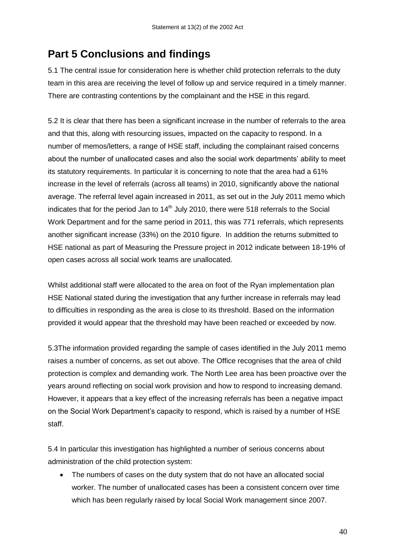## **Part 5 Conclusions and findings**

5.1 The central issue for consideration here is whether child protection referrals to the duty team in this area are receiving the level of follow up and service required in a timely manner. There are contrasting contentions by the complainant and the HSE in this regard.

5.2 It is clear that there has been a significant increase in the number of referrals to the area and that this, along with resourcing issues, impacted on the capacity to respond. In a number of memos/letters, a range of HSE staff, including the complainant raised concerns about the number of unallocated cases and also the social work departments" ability to meet its statutory requirements. In particular it is concerning to note that the area had a 61% increase in the level of referrals (across all teams) in 2010, significantly above the national average. The referral level again increased in 2011, as set out in the July 2011 memo which indicates that for the period Jan to  $14<sup>th</sup>$  July 2010, there were 518 referrals to the Social Work Department and for the same period in 2011, this was 771 referrals, which represents another significant increase (33%) on the 2010 figure. In addition the returns submitted to HSE national as part of Measuring the Pressure project in 2012 indicate between 18-19% of open cases across all social work teams are unallocated.

Whilst additional staff were allocated to the area on foot of the Ryan implementation plan HSE National stated during the investigation that any further increase in referrals may lead to difficulties in responding as the area is close to its threshold. Based on the information provided it would appear that the threshold may have been reached or exceeded by now.

5.3The information provided regarding the sample of cases identified in the July 2011 memo raises a number of concerns, as set out above. The Office recognises that the area of child protection is complex and demanding work. The North Lee area has been proactive over the years around reflecting on social work provision and how to respond to increasing demand. However, it appears that a key effect of the increasing referrals has been a negative impact on the Social Work Department"s capacity to respond, which is raised by a number of HSE staff.

5.4 In particular this investigation has highlighted a number of serious concerns about administration of the child protection system:

 The numbers of cases on the duty system that do not have an allocated social worker. The number of unallocated cases has been a consistent concern over time which has been regularly raised by local Social Work management since 2007.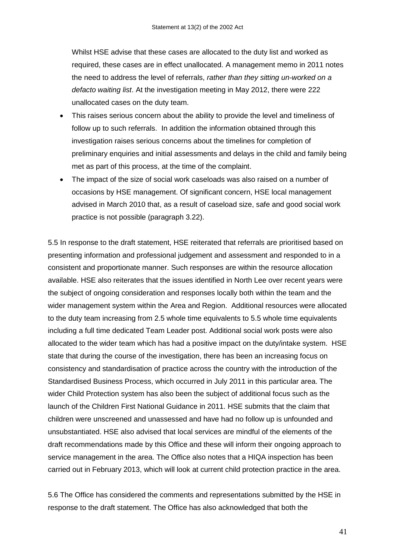Whilst HSE advise that these cases are allocated to the duty list and worked as required, these cases are in effect unallocated. A management memo in 2011 notes the need to address the level of referrals, *rather than they sitting un-worked on a defacto waiting list*. At the investigation meeting in May 2012, there were 222 unallocated cases on the duty team.

- This raises serious concern about the ability to provide the level and timeliness of follow up to such referrals. In addition the information obtained through this investigation raises serious concerns about the timelines for completion of preliminary enquiries and initial assessments and delays in the child and family being met as part of this process, at the time of the complaint.
- The impact of the size of social work caseloads was also raised on a number of occasions by HSE management. Of significant concern, HSE local management advised in March 2010 that, as a result of caseload size, safe and good social work practice is not possible (paragraph 3.22).

5.5 In response to the draft statement, HSE reiterated that referrals are prioritised based on presenting information and professional judgement and assessment and responded to in a consistent and proportionate manner. Such responses are within the resource allocation available. HSE also reiterates that the issues identified in North Lee over recent years were the subject of ongoing consideration and responses locally both within the team and the wider management system within the Area and Region. Additional resources were allocated to the duty team increasing from 2.5 whole time equivalents to 5.5 whole time equivalents including a full time dedicated Team Leader post. Additional social work posts were also allocated to the wider team which has had a positive impact on the duty/intake system. HSE state that during the course of the investigation, there has been an increasing focus on consistency and standardisation of practice across the country with the introduction of the Standardised Business Process, which occurred in July 2011 in this particular area. The wider Child Protection system has also been the subject of additional focus such as the launch of the Children First National Guidance in 2011. HSE submits that the claim that children were unscreened and unassessed and have had no follow up is unfounded and unsubstantiated. HSE also advised that local services are mindful of the elements of the draft recommendations made by this Office and these will inform their ongoing approach to service management in the area. The Office also notes that a HIQA inspection has been carried out in February 2013, which will look at current child protection practice in the area.

5.6 The Office has considered the comments and representations submitted by the HSE in response to the draft statement. The Office has also acknowledged that both the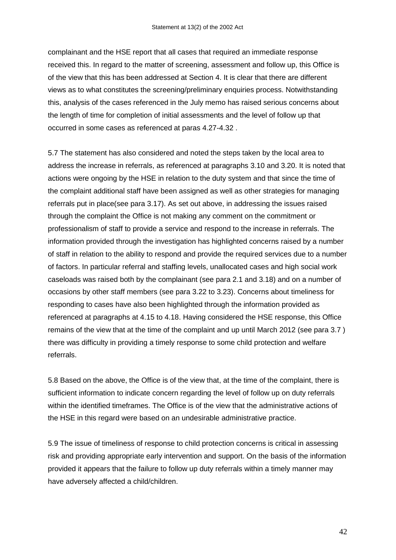complainant and the HSE report that all cases that required an immediate response received this. In regard to the matter of screening, assessment and follow up, this Office is of the view that this has been addressed at Section 4. It is clear that there are different views as to what constitutes the screening/preliminary enquiries process. Notwithstanding this, analysis of the cases referenced in the July memo has raised serious concerns about the length of time for completion of initial assessments and the level of follow up that occurred in some cases as referenced at paras 4.27-4.32 .

5.7 The statement has also considered and noted the steps taken by the local area to address the increase in referrals, as referenced at paragraphs 3.10 and 3.20. It is noted that actions were ongoing by the HSE in relation to the duty system and that since the time of the complaint additional staff have been assigned as well as other strategies for managing referrals put in place(see para 3.17). As set out above, in addressing the issues raised through the complaint the Office is not making any comment on the commitment or professionalism of staff to provide a service and respond to the increase in referrals. The information provided through the investigation has highlighted concerns raised by a number of staff in relation to the ability to respond and provide the required services due to a number of factors. In particular referral and staffing levels, unallocated cases and high social work caseloads was raised both by the complainant (see para 2.1 and 3.18) and on a number of occasions by other staff members (see para 3.22 to 3.23). Concerns about timeliness for responding to cases have also been highlighted through the information provided as referenced at paragraphs at 4.15 to 4.18. Having considered the HSE response, this Office remains of the view that at the time of the complaint and up until March 2012 (see para 3.7 ) there was difficulty in providing a timely response to some child protection and welfare referrals.

5.8 Based on the above, the Office is of the view that, at the time of the complaint, there is sufficient information to indicate concern regarding the level of follow up on duty referrals within the identified timeframes. The Office is of the view that the administrative actions of the HSE in this regard were based on an undesirable administrative practice.

5.9 The issue of timeliness of response to child protection concerns is critical in assessing risk and providing appropriate early intervention and support. On the basis of the information provided it appears that the failure to follow up duty referrals within a timely manner may have adversely affected a child/children.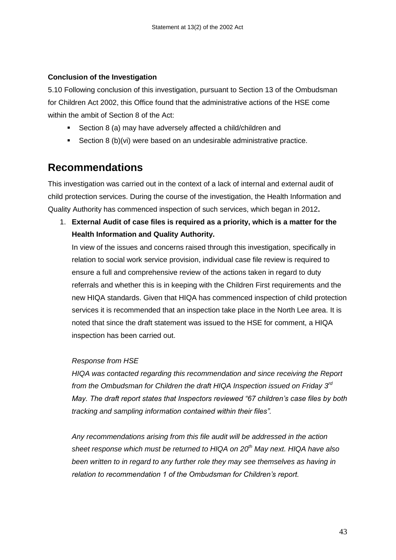#### **Conclusion of the Investigation**

5.10 Following conclusion of this investigation, pursuant to Section 13 of the Ombudsman for Children Act 2002, this Office found that the administrative actions of the HSE come within the ambit of Section 8 of the Act:

- Section 8 (a) may have adversely affected a child/children and
- Section 8 (b)(vi) were based on an undesirable administrative practice.

## **Recommendations**

This investigation was carried out in the context of a lack of internal and external audit of child protection services. During the course of the investigation, the Health Information and Quality Authority has commenced inspection of such services, which began in 2012**.**

1. **External Audit of case files is required as a priority, which is a matter for the Health Information and Quality Authority.** 

In view of the issues and concerns raised through this investigation, specifically in relation to social work service provision, individual case file review is required to ensure a full and comprehensive review of the actions taken in regard to duty referrals and whether this is in keeping with the Children First requirements and the new HIQA standards. Given that HIQA has commenced inspection of child protection services it is recommended that an inspection take place in the North Lee area. It is noted that since the draft statement was issued to the HSE for comment, a HIQA inspection has been carried out.

#### *Response from HSE*

*HIQA was contacted regarding this recommendation and since receiving the Report from the Ombudsman for Children the draft HIQA Inspection issued on Friday 3rd May. The draft report states that Inspectors reviewed "67 children's case files by both tracking and sampling information contained within their files".*

*Any recommendations arising from this file audit will be addressed in the action sheet response which must be returned to HIQA on 20th May next. HIQA have also been written to in regard to any further role they may see themselves as having in relation to recommendation 1 of the Ombudsman for Children's report.*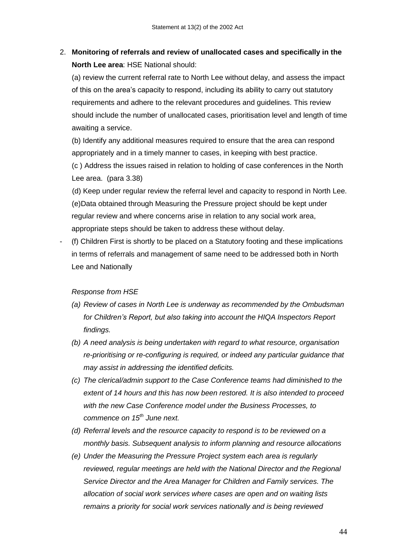### 2. **Monitoring of referrals and review of unallocated cases and specifically in the North Lee area**: HSE National should:

(a) review the current referral rate to North Lee without delay, and assess the impact of this on the area"s capacity to respond, including its ability to carry out statutory requirements and adhere to the relevant procedures and guidelines. This review should include the number of unallocated cases, prioritisation level and length of time awaiting a service.

(b) Identify any additional measures required to ensure that the area can respond appropriately and in a timely manner to cases, in keeping with best practice. (c ) Address the issues raised in relation to holding of case conferences in the North Lee area. (para 3.38)

 (d) Keep under regular review the referral level and capacity to respond in North Lee. (e)Data obtained through Measuring the Pressure project should be kept under regular review and where concerns arise in relation to any social work area, appropriate steps should be taken to address these without delay.

- (f) Children First is shortly to be placed on a Statutory footing and these implications in terms of referrals and management of same need to be addressed both in North Lee and Nationally

#### *Response from HSE*

- *(a) Review of cases in North Lee is underway as recommended by the Ombudsman for Children's Report, but also taking into account the HIQA Inspectors Report findings.*
- *(b) A need analysis is being undertaken with regard to what resource, organisation re-prioritising or re-configuring is required, or indeed any particular guidance that may assist in addressing the identified deficits.*
- *(c) The clerical/admin support to the Case Conference teams had diminished to the extent of 14 hours and this has now been restored. It is also intended to proceed with the new Case Conference model under the Business Processes, to commence on 15th June next.*
- *(d) Referral levels and the resource capacity to respond is to be reviewed on a monthly basis. Subsequent analysis to inform planning and resource allocations*
- *(e) Under the Measuring the Pressure Project system each area is regularly reviewed, regular meetings are held with the National Director and the Regional Service Director and the Area Manager for Children and Family services. The allocation of social work services where cases are open and on waiting lists remains a priority for social work services nationally and is being reviewed*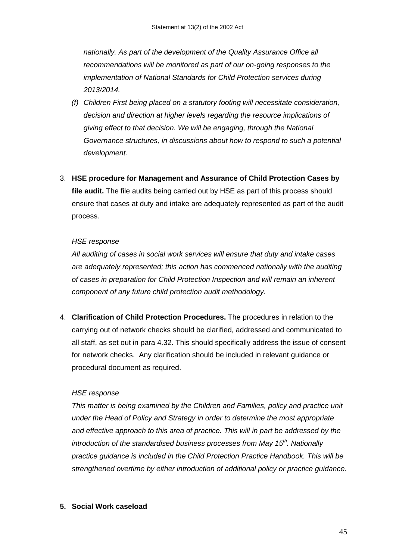*nationally. As part of the development of the Quality Assurance Office all recommendations will be monitored as part of our on-going responses to the implementation of National Standards for Child Protection services during 2013/2014.* 

- *(f) Children First being placed on a statutory footing will necessitate consideration, decision and direction at higher levels regarding the resource implications of giving effect to that decision. We will be engaging, through the National Governance structures, in discussions about how to respond to such a potential development.*
- 3. **HSE procedure for Management and Assurance of Child Protection Cases by file audit.** The file audits being carried out by HSE as part of this process should ensure that cases at duty and intake are adequately represented as part of the audit process.

#### *HSE response*

*All auditing of cases in social work services will ensure that duty and intake cases are adequately represented; this action has commenced nationally with the auditing of cases in preparation for Child Protection Inspection and will remain an inherent component of any future child protection audit methodology.* 

4. **Clarification of Child Protection Procedures.** The procedures in relation to the carrying out of network checks should be clarified, addressed and communicated to all staff, as set out in para 4.32. This should specifically address the issue of consent for network checks. Any clarification should be included in relevant guidance or procedural document as required.

#### *HSE response*

*This matter is being examined by the Children and Families, policy and practice unit under the Head of Policy and Strategy in order to determine the most appropriate and effective approach to this area of practice. This will in part be addressed by the introduction of the standardised business processes from May 15th. Nationally practice guidance is included in the Child Protection Practice Handbook. This will be strengthened overtime by either introduction of additional policy or practice guidance.*

#### **5. Social Work caseload**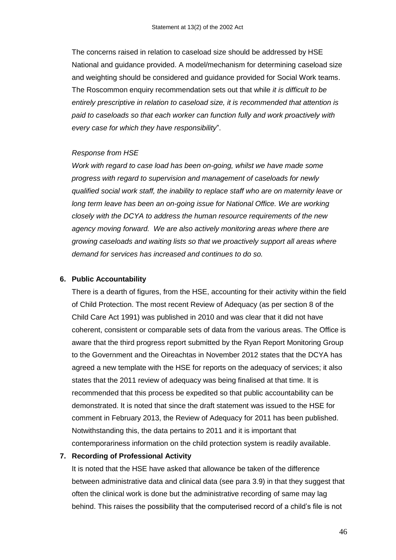The concerns raised in relation to caseload size should be addressed by HSE National and guidance provided. A model/mechanism for determining caseload size and weighting should be considered and guidance provided for Social Work teams. The Roscommon enquiry recommendation sets out that while *it is difficult to be entirely prescriptive in relation to caseload size, it is recommended that attention is paid to caseloads so that each worker can function fully and work proactively with every case for which they have responsibility*".

#### *Response from HSE*

*Work with regard to case load has been on-going, whilst we have made some progress with regard to supervision and management of caseloads for newly qualified social work staff, the inability to replace staff who are on maternity leave or*  long term leave has been an on-going issue for National Office. We are working *closely with the DCYA to address the human resource requirements of the new agency moving forward. We are also actively monitoring areas where there are growing caseloads and waiting lists so that we proactively support all areas where demand for services has increased and continues to do so.*

#### **6. Public Accountability**

There is a dearth of figures, from the HSE, accounting for their activity within the field of Child Protection. The most recent Review of Adequacy (as per section 8 of the Child Care Act 1991) was published in 2010 and was clear that it did not have coherent, consistent or comparable sets of data from the various areas. The Office is aware that the third progress report submitted by the Ryan Report Monitoring Group to the Government and the Oireachtas in November 2012 states that the DCYA has agreed a new template with the HSE for reports on the adequacy of services; it also states that the 2011 review of adequacy was being finalised at that time. It is recommended that this process be expedited so that public accountability can be demonstrated. It is noted that since the draft statement was issued to the HSE for comment in February 2013, the Review of Adequacy for 2011 has been published. Notwithstanding this, the data pertains to 2011 and it is important that contemporariness information on the child protection system is readily available.

#### **7. Recording of Professional Activity**

It is noted that the HSE have asked that allowance be taken of the difference between administrative data and clinical data (see para 3.9) in that they suggest that often the clinical work is done but the administrative recording of same may lag behind. This raises the possibility that the computerised record of a child's file is not